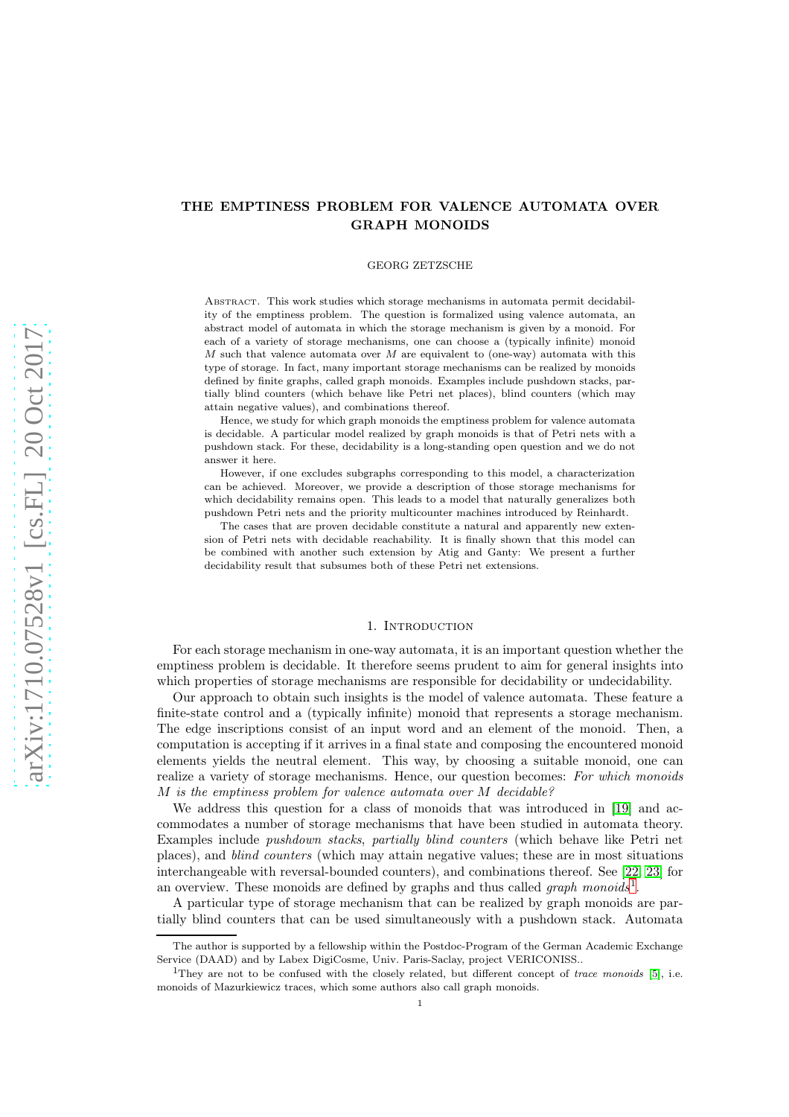# THE EMPTINESS PROBLEM FOR VALENCE AUTOMATA OVER GRAPH MONOIDS

### GEORG ZETZSCHE

Abstract. This work studies which storage mechanisms in automata permit decidability of the emptiness problem. The question is formalized using valence automata, an abstract model of automata in which the storage mechanism is given by a monoid. For each of a variety of storage mechanisms, one can choose a (typically infinite) monoid M such that valence automata over M are equivalent to (one-way) automata with this type of storage. In fact, many important storage mechanisms can be realized by monoids defined by finite graphs, called graph monoids. Examples include pushdown stacks, partially blind counters (which behave like Petri net places), blind counters (which may attain negative values), and combinations thereof.

Hence, we study for which graph monoids the emptiness problem for valence automata is decidable. A particular model realized by graph monoids is that of Petri nets with a pushdown stack. For these, decidability is a long-standing open question and we do not answer it here.

However, if one excludes subgraphs corresponding to this model, a characterization can be achieved. Moreover, we provide a description of those storage mechanisms for which decidability remains open. This leads to a model that naturally generalizes both pushdown Petri nets and the priority multicounter machines introduced by Reinhardt.

The cases that are proven decidable constitute a natural and apparently new extension of Petri nets with decidable reachability. It is finally shown that this model can be combined with another such extension by Atig and Ganty: We present a further decidability result that subsumes both of these Petri net extensions.

# 1. INTRODUCTION

For each storage mechanism in one-way automata, it is an important question whether the emptiness problem is decidable. It therefore seems prudent to aim for general insights into which properties of storage mechanisms are responsible for decidability or undecidability.

Our approach to obtain such insights is the model of valence automata. These feature a finite-state control and a (typically infinite) monoid that represents a storage mechanism. The edge inscriptions consist of an input word and an element of the monoid. Then, a computation is accepting if it arrives in a final state and composing the encountered monoid elements yields the neutral element. This way, by choosing a suitable monoid, one can realize a variety of storage mechanisms. Hence, our question becomes: For which monoids M is the emptiness problem for valence automata over M decidable?

We address this question for a class of monoids that was introduced in [\[19\]](#page-22-0) and accommodates a number of storage mechanisms that have been studied in automata theory. Examples include pushdown stacks, partially blind counters (which behave like Petri net places), and blind counters (which may attain negative values; these are in most situations interchangeable with reversal-bounded counters), and combinations thereof. See [\[22,](#page-22-1) [23\]](#page-22-2) for an overview. These monoids are defined by graphs and thus called  $graph \ monoids^1$  $graph \ monoids^1$ .

A particular type of storage mechanism that can be realized by graph monoids are partially blind counters that can be used simultaneously with a pushdown stack. Automata

The author is supported by a fellowship within the Postdoc-Program of the German Academic Exchange Service (DAAD) and by Labex DigiCosme, Univ. Paris-Saclay, project VERICONISS..

<span id="page-0-0"></span><sup>&</sup>lt;sup>1</sup>They are not to be confused with the closely related, but different concept of *trace monoids* [\[5\]](#page-21-0), i.e. monoids of Mazurkiewicz traces, which some authors also call graph monoids.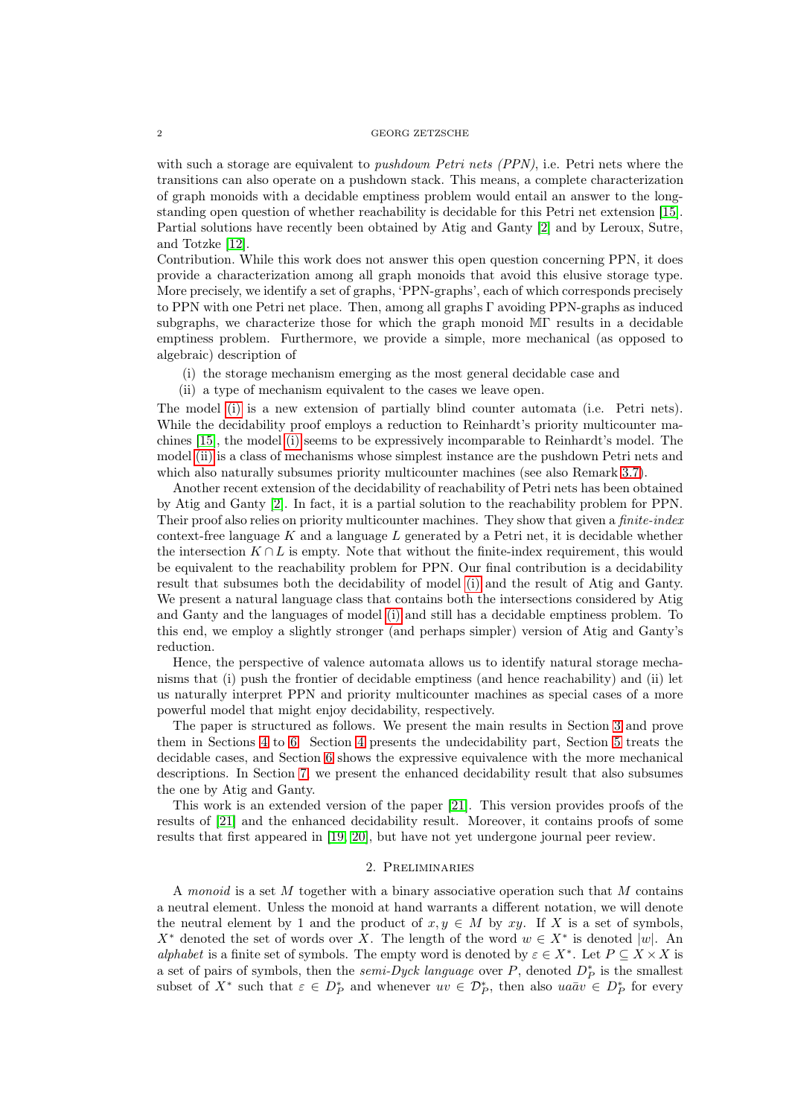with such a storage are equivalent to *pushdown Petri nets (PPN)*, i.e. Petri nets where the transitions can also operate on a pushdown stack. This means, a complete characterization of graph monoids with a decidable emptiness problem would entail an answer to the longstanding open question of whether reachability is decidable for this Petri net extension [\[15\]](#page-21-1). Partial solutions have recently been obtained by Atig and Ganty [\[2\]](#page-21-2) and by Leroux, Sutre, and Totzke [\[12\]](#page-21-3).

Contribution. While this work does not answer this open question concerning PPN, it does provide a characterization among all graph monoids that avoid this elusive storage type. More precisely, we identify a set of graphs, 'PPN-graphs', each of which corresponds precisely to PPN with one Petri net place. Then, among all graphs Γ avoiding PPN-graphs as induced subgraphs, we characterize those for which the graph monoid MΓ results in a decidable emptiness problem. Furthermore, we provide a simple, more mechanical (as opposed to algebraic) description of

- <span id="page-1-1"></span><span id="page-1-0"></span>(i) the storage mechanism emerging as the most general decidable case and
- (ii) a type of mechanism equivalent to the cases we leave open.

The model [\(i\)](#page-1-0) is a new extension of partially blind counter automata (i.e. Petri nets). While the decidability proof employs a reduction to Reinhardt's priority multicounter machines [\[15\]](#page-21-1), the model [\(i\)](#page-1-0) seems to be expressively incomparable to Reinhardt's model. The model [\(ii\)](#page-1-1) is a class of mechanisms whose simplest instance are the pushdown Petri nets and which also naturally subsumes priority multicounter machines (see also Remark [3.7\)](#page-6-0).

Another recent extension of the decidability of reachability of Petri nets has been obtained by Atig and Ganty [\[2\]](#page-21-2). In fact, it is a partial solution to the reachability problem for PPN. Their proof also relies on priority multicounter machines. They show that given a *finite-index* context-free language K and a language L generated by a Petri net, it is decidable whether the intersection  $K \cap L$  is empty. Note that without the finite-index requirement, this would be equivalent to the reachability problem for PPN. Our final contribution is a decidability result that subsumes both the decidability of model [\(i\)](#page-1-0) and the result of Atig and Ganty. We present a natural language class that contains both the intersections considered by Atig and Ganty and the languages of model [\(i\)](#page-1-0) and still has a decidable emptiness problem. To this end, we employ a slightly stronger (and perhaps simpler) version of Atig and Ganty's reduction.

Hence, the perspective of valence automata allows us to identify natural storage mechanisms that (i) push the frontier of decidable emptiness (and hence reachability) and (ii) let us naturally interpret PPN and priority multicounter machines as special cases of a more powerful model that might enjoy decidability, respectively.

The paper is structured as follows. We present the main results in Section [3](#page-3-0) and prove them in Sections [4](#page-6-1) to [6.](#page-15-0) Section [4](#page-6-1) presents the undecidability part, Section [5](#page-8-0) treats the decidable cases, and Section [6](#page-15-0) shows the expressive equivalence with the more mechanical descriptions. In Section [7,](#page-16-0) we present the enhanced decidability result that also subsumes the one by Atig and Ganty.

This work is an extended version of the paper [\[21\]](#page-22-3). This version provides proofs of the results of [\[21\]](#page-22-3) and the enhanced decidability result. Moreover, it contains proofs of some results that first appeared in [\[19,](#page-22-0) [20\]](#page-22-4), but have not yet undergone journal peer review.

# 2. Preliminaries

A monoid is a set  $M$  together with a binary associative operation such that  $M$  contains a neutral element. Unless the monoid at hand warrants a different notation, we will denote the neutral element by 1 and the product of  $x, y \in M$  by  $x y$ . If X is a set of symbols,  $X^*$  denoted the set of words over X. The length of the word  $w \in X^*$  is denoted |w|. An alphabet is a finite set of symbols. The empty word is denoted by  $\varepsilon \in X^*$ . Let  $P \subseteq X \times X$  is a set of pairs of symbols, then the *semi-Dyck language* over P, denoted  $D_P^*$  is the smallest subset of  $X^*$  such that  $\varepsilon \in D_P^*$  and whenever  $uv \in \mathcal{D}_P^*$ , then also  $ua\bar{a}v \in D_P^*$  for every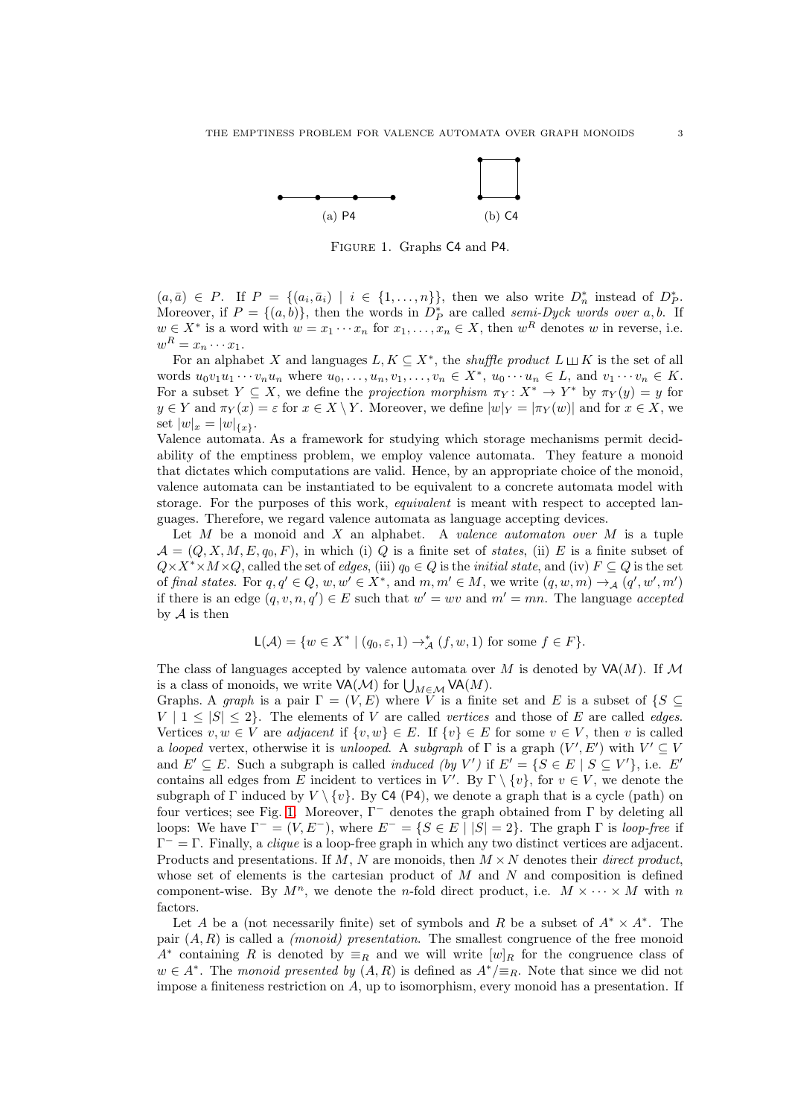<span id="page-2-0"></span>

Figure 1. Graphs C4 and P4.

 $(a,\bar{a}) \in P$ . If  $P = \{(a_i,\bar{a}_i) \mid i \in \{1,\ldots,n\}\}$ , then we also write  $D_n^*$  instead of  $D_P^*$ . Moreover, if  $P = \{(a, b)\}\$ , then the words in  $D_P^*$  are called semi-Dyck words over a, b. If  $w \in X^*$  is a word with  $w = x_1 \cdots x_n$  for  $x_1, \ldots, x_n \in X$ , then  $w^R$  denotes w in reverse, i.e.  $w^R = x_n \cdots x_1.$ 

For an alphabet X and languages  $L, K \subseteq X^*$ , the *shuffle product*  $L \sqcup K$  is the set of all words  $u_0v_1u_1\cdots v_nu_n$  where  $u_0,\ldots,u_n,v_1,\ldots,v_n\in X^*$ ,  $u_0\cdots u_n\in L$ , and  $v_1\cdots v_n\in K$ . For a subset  $Y \subseteq X$ , we define the projection morphism  $\pi_Y : X^* \to Y^*$  by  $\pi_Y(y) = y$  for  $y \in Y$  and  $\pi_Y(x) = \varepsilon$  for  $x \in X \setminus Y$ . Moreover, we define  $|w|_Y = |\pi_Y(w)|$  and for  $x \in X$ , we set  $|w|_x = |w|_{\{x\}}$ .

Valence automata. As a framework for studying which storage mechanisms permit decidability of the emptiness problem, we employ valence automata. They feature a monoid that dictates which computations are valid. Hence, by an appropriate choice of the monoid, valence automata can be instantiated to be equivalent to a concrete automata model with storage. For the purposes of this work, *equivalent* is meant with respect to accepted languages. Therefore, we regard valence automata as language accepting devices.

Let  $M$  be a monoid and  $X$  an alphabet. A valence automaton over  $M$  is a tuple  $\mathcal{A} = (Q, X, M, E, q_0, F)$ , in which (i) Q is a finite set of states, (ii) E is a finite subset of  $Q \times X^* \times M \times Q$ , called the set of *edges*, (iii)  $q_0 \in Q$  is the *initial state*, and (iv)  $F \subseteq Q$  is the set of final states. For  $q, q' \in Q, w, w' \in X^*$ , and  $m, m' \in M$ , we write  $(q, w, m) \to_A (q', w', m')$ if there is an edge  $(q, v, n, q') \in E$  such that  $w' = wv$  and  $m' = mn$ . The language accepted by  $A$  is then

$$
\mathsf{L}(\mathcal{A}) = \{ w \in X^* \mid (q_0, \varepsilon, 1) \to^*_{\mathcal{A}} (f, w, 1) \text{ for some } f \in F \}.
$$

The class of languages accepted by valence automata over M is denoted by  $VA(M)$ . If M is a class of monoids, we write  $\mathsf{VA}(\mathcal{M})$  for  $\bigcup_{M \in \mathcal{M}} \mathsf{VA}(M)$ .

Graphs. A graph is a pair  $\Gamma = (V, E)$  where V is a finite set and E is a subset of  $\{S \subseteq$  $V \mid 1 \leq |S| \leq 2$ . The elements of V are called vertices and those of E are called edges. Vertices  $v, w \in V$  are *adjacent* if  $\{v, w\} \in E$ . If  $\{v\} \in E$  for some  $v \in V$ , then v is called a looped vertex, otherwise it is unlooped. A subgraph of  $\Gamma$  is a graph  $(V', E')$  with  $V' \subseteq V$ and  $E' \subseteq E$ . Such a subgraph is called *induced (by V')* if  $E' = \{S \in E \mid S \subseteq V'\}$ , i.e. E' contains all edges from E incident to vertices in  $V'$ . By  $\Gamma \setminus \{v\}$ , for  $v \in V$ , we denote the subgraph of Γ induced by  $V \setminus \{v\}$ . By C4 (P4), we denote a graph that is a cycle (path) on four vertices; see Fig. [1.](#page-2-0) Moreover,  $\Gamma^-$  denotes the graph obtained from  $\Gamma$  by deleting all loops: We have  $\Gamma^- = (V, E^-)$ , where  $E^- = \{ S \in E \mid |S| = 2 \}$ . The graph  $\Gamma$  is loop-free if  $\Gamma^- = \Gamma$ . Finally, a *clique* is a loop-free graph in which any two distinct vertices are adjacent. Products and presentations. If M, N are monoids, then  $M \times N$  denotes their *direct product*, whose set of elements is the cartesian product of  $M$  and  $N$  and composition is defined component-wise. By  $M^n$ , we denote the *n*-fold direct product, i.e.  $M \times \cdots \times M$  with *n* factors.

Let A be a (not necessarily finite) set of symbols and R be a subset of  $A^* \times A^*$ . The pair  $(A, R)$  is called a *(monoid)* presentation. The smallest congruence of the free monoid A<sup>\*</sup> containing R is denoted by  $\equiv_R$  and we will write  $[w]_R$  for the congruence class of  $w \in A^*$ . The monoid presented by  $(A, R)$  is defined as  $A^* / \equiv_R$ . Note that since we did not impose a finiteness restriction on  $A$ , up to isomorphism, every monoid has a presentation. If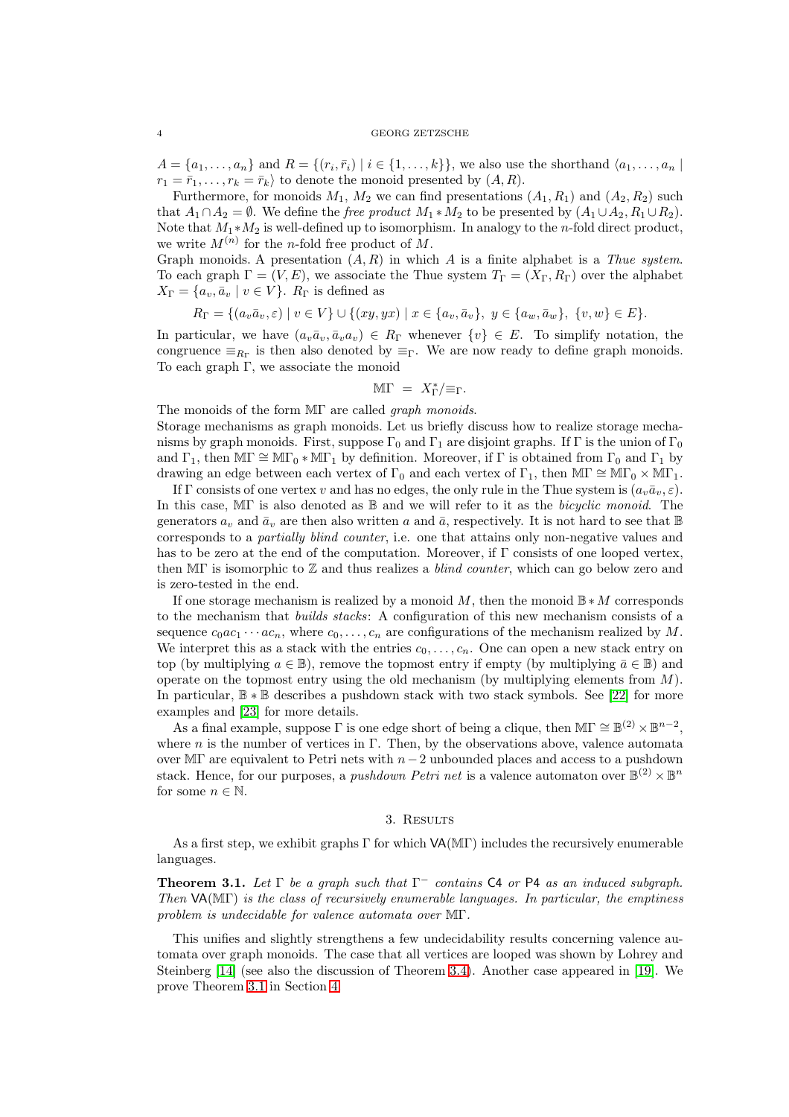$A = \{a_1, \ldots, a_n\}$  and  $R = \{(r_i, \bar{r}_i) \mid i \in \{1, \ldots, k\}\}\,$  we also use the shorthand  $\langle a_1, \ldots, a_n \mid$  $r_1 = \bar{r}_1, \ldots, r_k = \bar{r}_k$  to denote the monoid presented by  $(A, R)$ .

Furthermore, for monoids  $M_1$ ,  $M_2$  we can find presentations  $(A_1, R_1)$  and  $(A_2, R_2)$  such that  $A_1 \cap A_2 = \emptyset$ . We define the *free product*  $M_1 * M_2$  to be presented by  $(A_1 \cup A_2, R_1 \cup R_2)$ . Note that  $M_1 * M_2$  is well-defined up to isomorphism. In analogy to the *n*-fold direct product, we write  $M^{(n)}$  for the *n*-fold free product of M.

Graph monoids. A presentation  $(A, R)$  in which A is a finite alphabet is a Thue system. To each graph  $\Gamma = (V, E)$ , we associate the Thue system  $T_{\Gamma} = (X_{\Gamma}, R_{\Gamma})$  over the alphabet  $X_{\Gamma} = \{a_v, \bar{a}_v \mid v \in V\}$ .  $R_{\Gamma}$  is defined as

$$
R_{\Gamma} = \{ (a_v \bar{a}_v, \varepsilon) \mid v \in V \} \cup \{ (xy, yx) \mid x \in \{a_v, \bar{a}_v\}, y \in \{a_w, \bar{a}_w\}, \{v, w\} \in E \}.
$$

In particular, we have  $(a_v\bar{a}_v,\bar{a}_v\bar{a}_v) \in R_\Gamma$  whenever  $\{v\} \in E$ . To simplify notation, the congruence  $\equiv_{R_{\Gamma}}$  is then also denoted by  $\equiv_{\Gamma}$ . We are now ready to define graph monoids. To each graph Γ, we associate the monoid

$$
\mathbb{M}\Gamma ~=~ X^*_\Gamma/\!\!\equiv_\Gamma.
$$

The monoids of the form MΓ are called graph monoids.

Storage mechanisms as graph monoids. Let us briefly discuss how to realize storage mechanisms by graph monoids. First, suppose  $\Gamma_0$  and  $\Gamma_1$  are disjoint graphs. If  $\Gamma$  is the union of  $\Gamma_0$ and  $\Gamma_1$ , then MΓ  $\cong$  MΓ<sub>0</sub>  $\ast$  MΓ<sub>1</sub> by definition. Moreover, if Γ is obtained from Γ<sub>0</sub> and Γ<sub>1</sub> by drawing an edge between each vertex of  $\Gamma_0$  and each vertex of  $\Gamma_1$ , then MIT  $\cong$  MI $\Gamma_0 \times$  MIT<sub>1</sub>.

If Γ consists of one vertex v and has no edges, the only rule in the Thue system is  $(a_v\bar{a}_v,\varepsilon)$ . In this case, MΓ is also denoted as  $\mathbb B$  and we will refer to it as the *bicyclic monoid*. The generators  $a_v$  and  $\bar{a}_v$  are then also written a and  $\bar{a}$ , respectively. It is not hard to see that  $\mathbb B$ corresponds to a partially blind counter, i.e. one that attains only non-negative values and has to be zero at the end of the computation. Moreover, if  $\Gamma$  consists of one looped vertex, then MΓ is isomorphic to  $\mathbb Z$  and thus realizes a *blind counter*, which can go below zero and is zero-tested in the end.

If one storage mechanism is realized by a monoid  $M$ , then the monoid  $\mathbb{B} * M$  corresponds to the mechanism that builds stacks: A configuration of this new mechanism consists of a sequence  $c_0ac_1 \cdots ac_n$ , where  $c_0, \ldots, c_n$  are configurations of the mechanism realized by M. We interpret this as a stack with the entries  $c_0, \ldots, c_n$ . One can open a new stack entry on top (by multiplying  $a \in \mathbb{B}$ ), remove the topmost entry if empty (by multiplying  $\bar{a} \in \mathbb{B}$ ) and operate on the topmost entry using the old mechanism (by multiplying elements from  $M$ ). In particular, B ∗ B describes a pushdown stack with two stack symbols. See [\[22\]](#page-22-1) for more examples and [\[23\]](#page-22-2) for more details.

As a final example, suppose  $\Gamma$  is one edge short of being a clique, then  $\mathbb{M}\Gamma \cong \mathbb{B}^{(2)} \times \mathbb{B}^{n-2}$ , where  $n$  is the number of vertices in  $\Gamma$ . Then, by the observations above, valence automata over MΓ are equivalent to Petri nets with  $n-2$  unbounded places and access to a pushdown stack. Hence, for our purposes, a *pushdown Petri net* is a valence automaton over  $\mathbb{B}^{(2)} \times \mathbb{B}^n$ for some  $n \in \mathbb{N}$ .

# 3. Results

<span id="page-3-1"></span><span id="page-3-0"></span>As a first step, we exhibit graphs  $\Gamma$  for which  $\mathsf{VA}(\mathbb{MT})$  includes the recursively enumerable languages.

**Theorem 3.1.** Let  $\Gamma$  be a graph such that  $\Gamma^-$  contains C4 or P4 as an induced subgraph. Then  $VA(M\Gamma)$  is the class of recursively enumerable languages. In particular, the emptiness problem is undecidable for valence automata over MΓ.

This unifies and slightly strengthens a few undecidability results concerning valence automata over graph monoids. The case that all vertices are looped was shown by Lohrey and Steinberg [\[14\]](#page-21-4) (see also the discussion of Theorem [3.4\)](#page-5-0). Another case appeared in [\[19\]](#page-22-0). We prove Theorem [3.1](#page-3-1) in Section [4.](#page-6-1)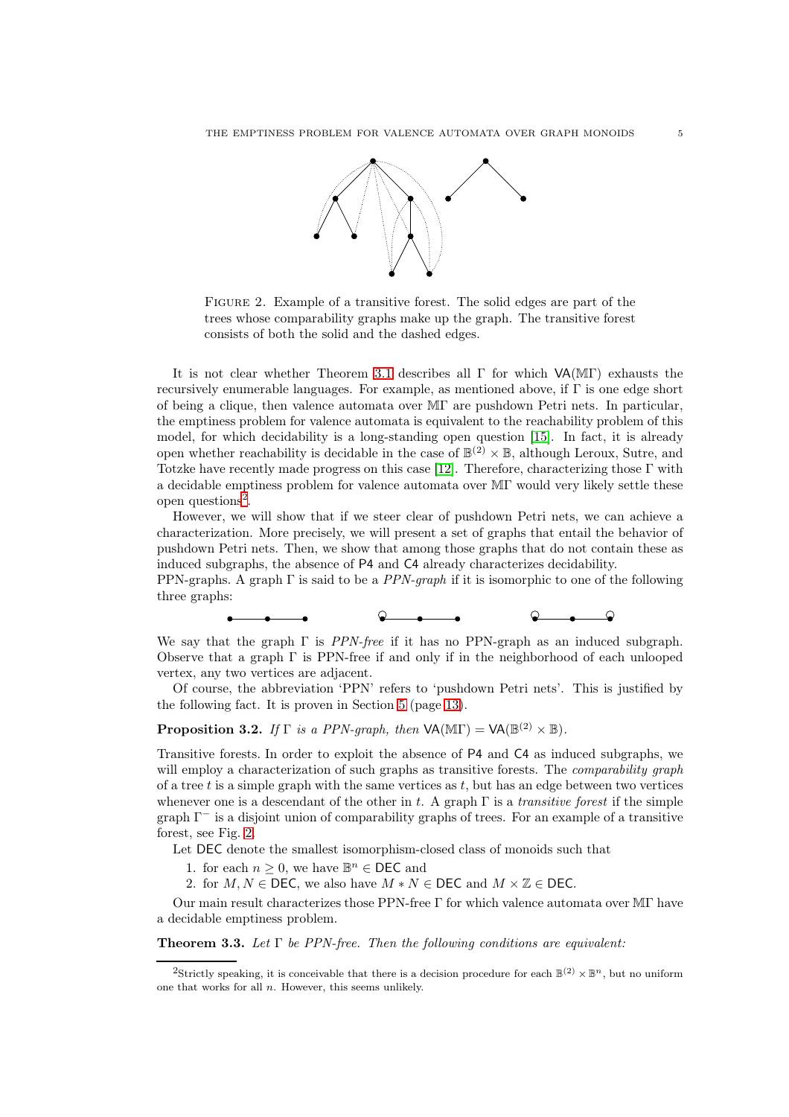<span id="page-4-1"></span>

Figure 2. Example of a transitive forest. The solid edges are part of the trees whose comparability graphs make up the graph. The transitive forest consists of both the solid and the dashed edges.

It is not clear whether Theorem [3.1](#page-3-1) describes all Γ for which VA(MΓ) exhausts the recursively enumerable languages. For example, as mentioned above, if Γ is one edge short of being a clique, then valence automata over MΓ are pushdown Petri nets. In particular, the emptiness problem for valence automata is equivalent to the reachability problem of this model, for which decidability is a long-standing open question [\[15\]](#page-21-1). In fact, it is already open whether reachability is decidable in the case of  $\mathbb{B}^{(2)} \times \mathbb{B}$ , although Leroux, Sutre, and Totzke have recently made progress on this case [\[12\]](#page-21-3). Therefore, characterizing those  $\Gamma$  with a decidable emptiness problem for valence automata over MΓ would very likely settle these open questions<sup>[2](#page-4-0)</sup>.

However, we will show that if we steer clear of pushdown Petri nets, we can achieve a characterization. More precisely, we will present a set of graphs that entail the behavior of pushdown Petri nets. Then, we show that among those graphs that do not contain these as induced subgraphs, the absence of P4 and C4 already characterizes decidability.

PPN-graphs. A graph  $\Gamma$  is said to be a *PPN-graph* if it is isomorphic to one of the following three graphs:



We say that the graph  $\Gamma$  is *PPN-free* if it has no PPN-graph as an induced subgraph. Observe that a graph  $\Gamma$  is PPN-free if and only if in the neighborhood of each unlooped vertex, any two vertices are adjacent.

<span id="page-4-3"></span>Of course, the abbreviation 'PPN' refers to 'pushdown Petri nets'. This is justified by the following fact. It is proven in Section [5](#page-8-0) (page [13\)](#page-12-0).

**Proposition 3.2.** If  $\Gamma$  is a PPN-graph, then  $\mathsf{VA}(\mathbb{MT}) = \mathsf{VA}(\mathbb{B}^{(2)} \times \mathbb{B})$ .

Transitive forests. In order to exploit the absence of P4 and C4 as induced subgraphs, we will employ a characterization of such graphs as transitive forests. The *comparability graph* of a tree  $t$  is a simple graph with the same vertices as  $t$ , but has an edge between two vertices whenever one is a descendant of the other in t. A graph  $\Gamma$  is a transitive forest if the simple graph Γ <sup>−</sup> is a disjoint union of comparability graphs of trees. For an example of a transitive forest, see Fig. [2.](#page-4-1)

Let DEC denote the smallest isomorphism-closed class of monoids such that

1. for each  $n \geq 0$ , we have  $\mathbb{B}^n \in \mathsf{DEC}$  and

2. for  $M, N \in \text{DEC}$ , we also have  $M * N \in \text{DEC}$  and  $M \times \mathbb{Z} \in \text{DEC}$ .

<span id="page-4-2"></span>Our main result characterizes those PPN-free  $\Gamma$  for which valence automata over MΓ have a decidable emptiness problem.

**Theorem 3.3.** Let  $\Gamma$  be PPN-free. Then the following conditions are equivalent:

<span id="page-4-0"></span><sup>&</sup>lt;sup>2</sup>Strictly speaking, it is conceivable that there is a decision procedure for each  $\mathbb{B}^{(2)} \times \mathbb{B}^n$ , but no uniform one that works for all  $n$ . However, this seems unlikely.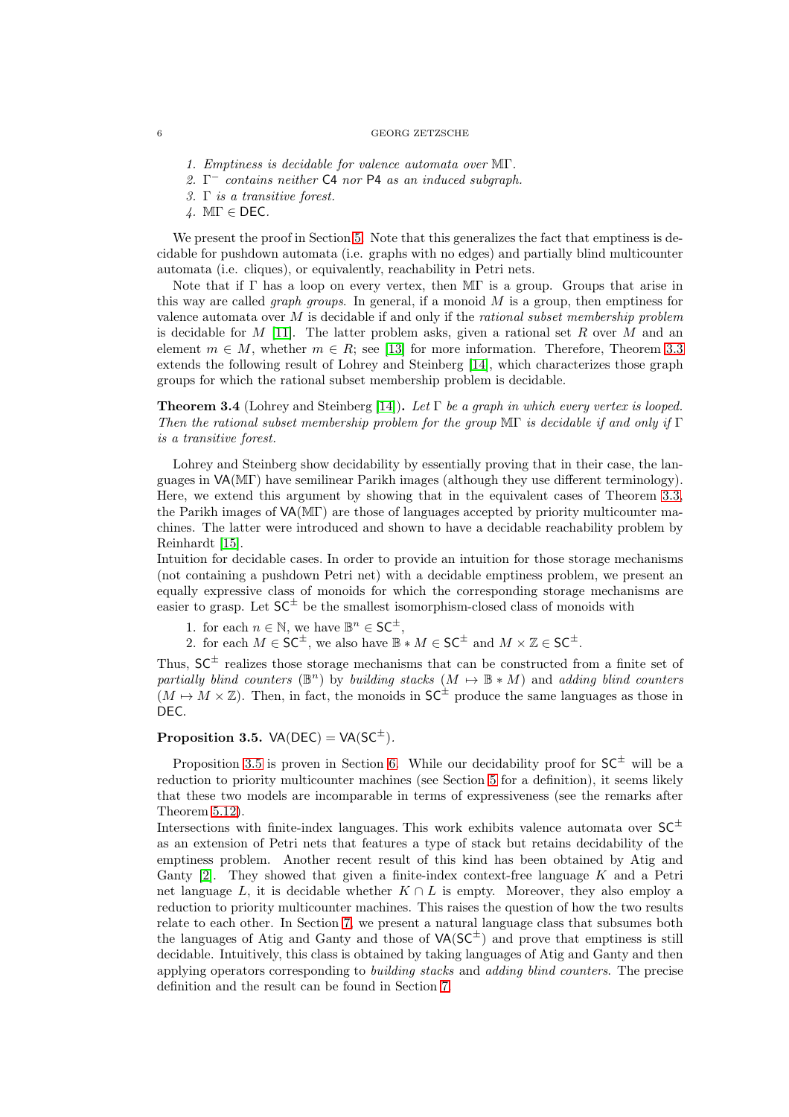- <span id="page-5-3"></span>1. Emptiness is decidable for valence automata over MΓ.
- <span id="page-5-4"></span>2. Γ<sup>-</sup> contains neither C4 nor P4 as an induced subgraph.
- <span id="page-5-5"></span>3. Γ is a transitive forest.
- 4.  $MT \in DEC$ .

We present the proof in Section [5.](#page-8-0) Note that this generalizes the fact that emptiness is decidable for pushdown automata (i.e. graphs with no edges) and partially blind multicounter automata (i.e. cliques), or equivalently, reachability in Petri nets.

Note that if  $\Gamma$  has a loop on every vertex, then M $\Gamma$  is a group. Groups that arise in this way are called *graph groups*. In general, if a monoid  $M$  is a group, then emptiness for valence automata over  $M$  is decidable if and only if the *rational subset membership problem* is decidable for M [\[11\]](#page-21-5). The latter problem asks, given a rational set R over M and an element  $m \in M$ , whether  $m \in R$ ; see [\[13\]](#page-21-6) for more information. Therefore, Theorem [3.3](#page-4-2) extends the following result of Lohrey and Steinberg [\[14\]](#page-21-4), which characterizes those graph groups for which the rational subset membership problem is decidable.

<span id="page-5-0"></span>**Theorem 3.4** (Lohrey and Steinberg [\[14\]](#page-21-4)). Let  $\Gamma$  be a graph in which every vertex is looped. Then the rational subset membership problem for the group  $\mathbb{M}\Gamma$  is decidable if and only if  $\Gamma$ is a transitive forest.

Lohrey and Steinberg show decidability by essentially proving that in their case, the languages in VA(MΓ) have semilinear Parikh images (although they use different terminology). Here, we extend this argument by showing that in the equivalent cases of Theorem [3.3,](#page-4-2) the Parikh images of VA(MΓ) are those of languages accepted by priority multicounter machines. The latter were introduced and shown to have a decidable reachability problem by Reinhardt [\[15\]](#page-21-1).

Intuition for decidable cases. In order to provide an intuition for those storage mechanisms (not containing a pushdown Petri net) with a decidable emptiness problem, we present an equally expressive class of monoids for which the corresponding storage mechanisms are easier to grasp. Let  $SC^{\pm}$  be the smallest isomorphism-closed class of monoids with

- 1. for each  $n \in \mathbb{N}$ , we have  $\mathbb{B}^n \in \mathsf{SC}^{\pm}$ ,
- 2. for each  $M \in SC^{\pm}$ , we also have  $\mathbb{B} * M \in SC^{\pm}$  and  $M \times \mathbb{Z} \in SC^{\pm}$ .

Thus,  $SC^{\pm}$  realizes those storage mechanisms that can be constructed from a finite set of partially blind counters  $(\mathbb{B}^n)$  by building stacks  $(M \mapsto \mathbb{B} * M)$  and adding blind counters  $(M \rightarrow M \times \mathbb{Z})$ . Then, in fact, the monoids in  $SC^{\pm}$  produce the same languages as those in DEC.

# <span id="page-5-1"></span>Proposition 3.5.  $VA(DEC) = VA(SC^{\pm})$ .

Proposition [3.5](#page-5-1) is proven in Section [6.](#page-15-0) While our decidability proof for  $SC^{\pm}$  will be a reduction to priority multicounter machines (see Section [5](#page-13-0) for a definition), it seems likely that these two models are incomparable in terms of expressiveness (see the remarks after Theorem [5.12\)](#page-14-0).

Intersections with finite-index languages. This work exhibits valence automata over  $SC^{\pm}$ as an extension of Petri nets that features a type of stack but retains decidability of the emptiness problem. Another recent result of this kind has been obtained by Atig and Ganty [\[2\]](#page-21-2). They showed that given a finite-index context-free language  $K$  and a Petri net language L, it is decidable whether  $K \cap L$  is empty. Moreover, they also employ a reduction to priority multicounter machines. This raises the question of how the two results relate to each other. In Section [7,](#page-16-0) we present a natural language class that subsumes both the languages of Atig and Ganty and those of  $VA(SC^{\pm})$  and prove that emptiness is still decidable. Intuitively, this class is obtained by taking languages of Atig and Ganty and then applying operators corresponding to building stacks and adding blind counters. The precise definition and the result can be found in Section [7.](#page-16-0)

<span id="page-5-2"></span>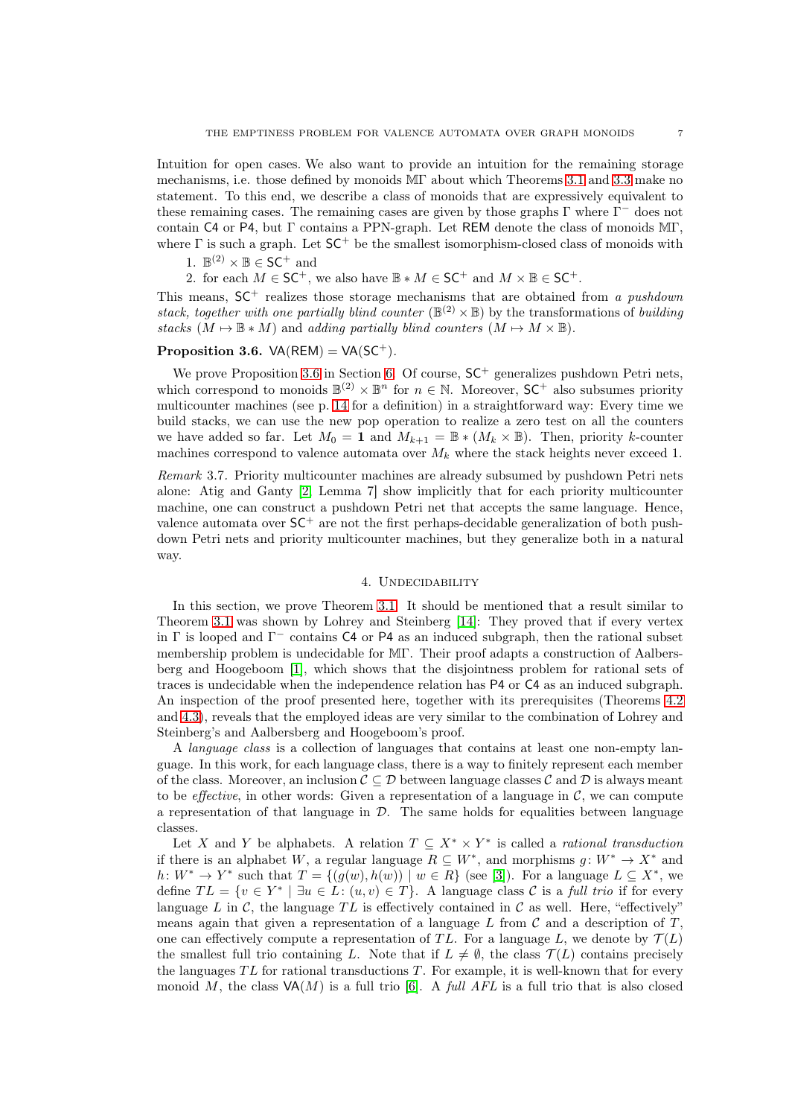Intuition for open cases. We also want to provide an intuition for the remaining storage mechanisms, i.e. those defined by monoids MΓ about which Theorems [3.1](#page-3-1) and [3.3](#page-4-2) make no statement. To this end, we describe a class of monoids that are expressively equivalent to these remaining cases. The remaining cases are given by those graphs  $\Gamma$  where  $\Gamma^-$  does not contain C4 or P4, but Γ contains a PPN-graph. Let REM denote the class of monoids MΓ, where  $\Gamma$  is such a graph. Let  $SC^+$  be the smallest isomorphism-closed class of monoids with

- 1.  $\mathbb{B}^{(2)} \times \mathbb{B} \in \mathsf{SC}^+$  and
- 2. for each  $M \in \mathsf{SC}^+$ , we also have  $\mathbb{B} * M \in \mathsf{SC}^+$  and  $M \times \mathbb{B} \in \mathsf{SC}^+$ .

This means,  $SC^+$  realizes those storage mechanisms that are obtained from a pushdown stack, together with one partially blind counter  $(\mathbb{B}^{(2)} \times \mathbb{B})$  by the transformations of building stacks  $(M \mapsto \mathbb{B} * M)$  and adding partially blind counters  $(M \mapsto M \times \mathbb{B})$ .

# <span id="page-6-2"></span>Proposition 3.6.  $VA(REM) = VA(SC^+)$ .

We prove Proposition [3.6](#page-6-2) in Section [6.](#page-15-0) Of course,  $SC^+$  generalizes pushdown Petri nets, which correspond to monoids  $\mathbb{B}^{(2)} \times \mathbb{B}^n$  for  $n \in \mathbb{N}$ . Moreover,  $SC^+$  also subsumes priority multicounter machines (see p. [14](#page-13-0) for a definition) in a straightforward way: Every time we build stacks, we can use the new pop operation to realize a zero test on all the counters we have added so far. Let  $M_0 = 1$  and  $M_{k+1} = \mathbb{B} * (M_k \times \mathbb{B})$ . Then, priority k-counter machines correspond to valence automata over  $M_k$  where the stack heights never exceed 1.

<span id="page-6-0"></span>Remark 3.7. Priority multicounter machines are already subsumed by pushdown Petri nets alone: Atig and Ganty [\[2,](#page-21-2) Lemma 7] show implicitly that for each priority multicounter machine, one can construct a pushdown Petri net that accepts the same language. Hence, valence automata over  $SC^+$  are not the first perhaps-decidable generalization of both pushdown Petri nets and priority multicounter machines, but they generalize both in a natural way.

### 4. Undecidability

<span id="page-6-1"></span>In this section, we prove Theorem [3.1.](#page-3-1) It should be mentioned that a result similar to Theorem [3.1](#page-3-1) was shown by Lohrey and Steinberg [\[14\]](#page-21-4): They proved that if every vertex in  $\Gamma$  is looped and  $\Gamma^-$  contains C4 or P4 as an induced subgraph, then the rational subset membership problem is undecidable for MΓ. Their proof adapts a construction of Aalbersberg and Hoogeboom [\[1\]](#page-21-7), which shows that the disjointness problem for rational sets of traces is undecidable when the independence relation has P4 or C4 as an induced subgraph. An inspection of the proof presented here, together with its prerequisites (Theorems [4.2](#page-7-0) and [4.3\)](#page-7-1), reveals that the employed ideas are very similar to the combination of Lohrey and Steinberg's and Aalbersberg and Hoogeboom's proof.

A language class is a collection of languages that contains at least one non-empty language. In this work, for each language class, there is a way to finitely represent each member of the class. Moreover, an inclusion  $\mathcal{C} \subseteq \mathcal{D}$  between language classes  $\mathcal{C}$  and  $\mathcal{D}$  is always meant to be *effective*, in other words: Given a representation of a language in  $\mathcal{C}$ , we can compute a representation of that language in  $D$ . The same holds for equalities between language classes.

Let X and Y be alphabets. A relation  $T \subseteq X^* \times Y^*$  is called a *rational transduction* if there is an alphabet W, a regular language  $R \subseteq W^*$ , and morphisms  $g: W^* \to X^*$  and h:  $W^* \to Y^*$  such that  $T = \{(g(w), h(w)) \mid w \in R\}$  (see [\[3\]](#page-21-8)). For a language  $L \subseteq X^*$ , we define  $TL = \{v \in Y^* \mid \exists u \in L : (u, v) \in T\}$ . A language class C is a full trio if for every language L in C, the language TL is effectively contained in C as well. Here, "effectively" means again that given a representation of a language L from  $\mathcal C$  and a description of  $T$ . one can effectively compute a representation of TL. For a language L, we denote by  $\mathcal{T}(L)$ the smallest full trio containing L. Note that if  $L \neq \emptyset$ , the class  $\mathcal{T}(L)$  contains precisely the languages  $TL$  for rational transductions  $T$ . For example, it is well-known that for every monoid M, the class  $\mathsf{VA}(M)$  is a full trio [\[6\]](#page-21-9). A full AFL is a full trio that is also closed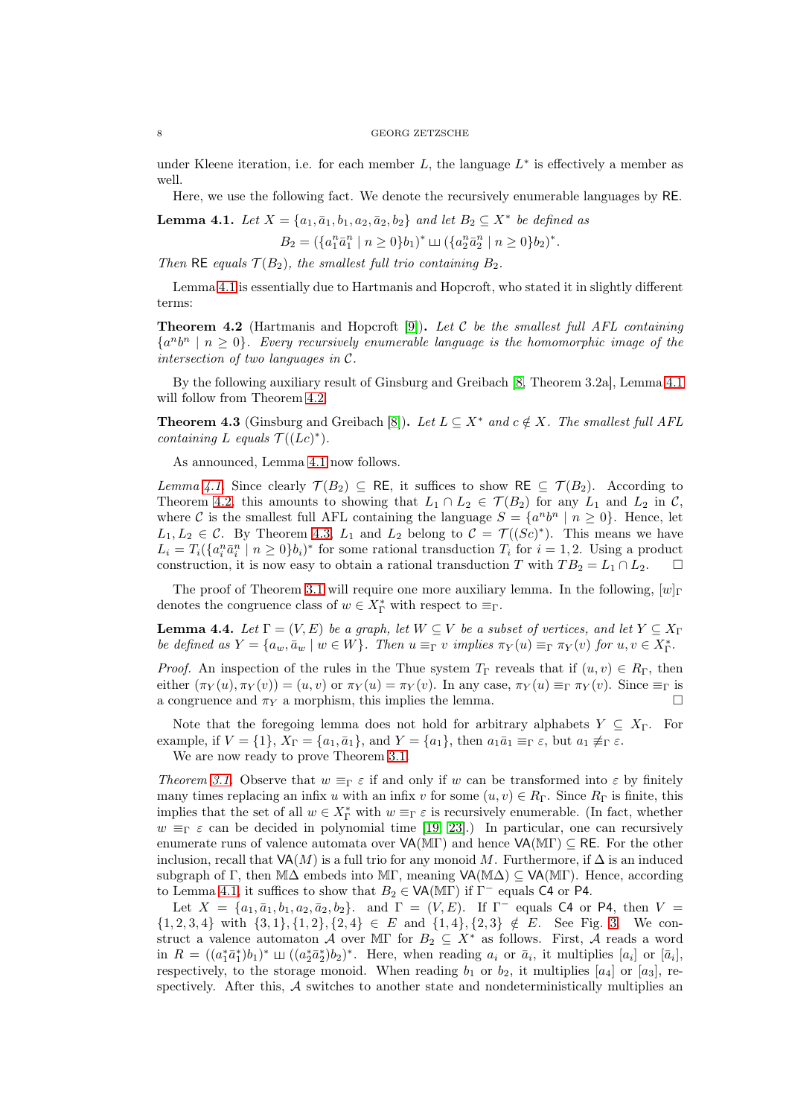under Kleene iteration, i.e. for each member  $L$ , the language  $L^*$  is effectively a member as well.

<span id="page-7-2"></span>Here, we use the following fact. We denote the recursively enumerable languages by RE.

**Lemma 4.1.** Let  $X = \{a_1, \bar{a}_1, b_1, a_2, \bar{a}_2, b_2\}$  and let  $B_2 \subseteq X^*$  be defined as

 $B_2 = (\{a_1^n \bar{a}_1^n \mid n \ge 0\}b_1)^* \sqcup (\{a_2^n \bar{a}_2^n \mid n \ge 0\}b_2)^*.$ 

Then RE equals  $\mathcal{T}(B_2)$ , the smallest full trio containing  $B_2$ .

<span id="page-7-0"></span>Lemma [4.1](#page-7-2) is essentially due to Hartmanis and Hopcroft, who stated it in slightly different terms:

**Theorem 4.2** (Hartmanis and Hopcroft [\[9\]](#page-21-10)). Let C be the smallest full AFL containing  ${a^n b^n \mid n \ge 0}$ . Every recursively enumerable language is the homomorphic image of the intersection of two languages in C.

<span id="page-7-1"></span>By the following auxiliary result of Ginsburg and Greibach [\[8,](#page-21-11) Theorem 3.2a], Lemma [4.1](#page-7-2) will follow from Theorem [4.2.](#page-7-0)

**Theorem 4.3** (Ginsburg and Greibach [\[8\]](#page-21-11)). Let  $L \subseteq X^*$  and  $c \notin X$ . The smallest full AFL containing L equals  $\mathcal{T}((Lc)^*)$ .

As announced, Lemma [4.1](#page-7-2) now follows.

Lemma [4.1.](#page-7-2) Since clearly  $\mathcal{T}(B_2) \subseteq \mathsf{RE}$ , it suffices to show RE  $\subseteq \mathcal{T}(B_2)$ . According to Theorem [4.2,](#page-7-0) this amounts to showing that  $L_1 \cap L_2 \in \mathcal{T}(B_2)$  for any  $L_1$  and  $L_2$  in  $\mathcal{C}$ , where C is the smallest full AFL containing the language  $S = \{a^n b^n \mid n \ge 0\}$ . Hence, let  $L_1, L_2 \in \mathcal{C}$ . By Theorem [4.3,](#page-7-1)  $L_1$  and  $L_2$  belong to  $\mathcal{C} = \mathcal{T}((Sc)^*)$ . This means we have  $L_i = T_i(\{a_i^n \bar{a}_i^n \mid n \geq 0\}b_i)^*$  for some rational transduction  $T_i$  for  $i = 1, 2$ . Using a product construction, it is now easy to obtain a rational transduction T with  $TB_2 = L_1 \cap L_2$ .  $\Box$ 

<span id="page-7-3"></span>The proof of Theorem [3.1](#page-3-1) will require one more auxiliary lemma. In the following,  $[w]$ Γ denotes the congruence class of  $w \in X_{\Gamma}^*$  with respect to  $\equiv_{\Gamma}$ .

**Lemma 4.4.** Let  $\Gamma = (V, E)$  be a graph, let  $W \subseteq V$  be a subset of vertices, and let  $Y \subseteq X_{\Gamma}$ be defined as  $Y = \{a_w, \bar{a}_w \mid w \in W\}$ . Then  $u \equiv_{\Gamma} v$  implies  $\pi_Y(u) \equiv_{\Gamma} \pi_Y(v)$  for  $u, v \in X_{\Gamma}^*$ .

*Proof.* An inspection of the rules in the Thue system  $T_{\Gamma}$  reveals that if  $(u, v) \in R_{\Gamma}$ , then either  $(\pi_Y(u), \pi_Y(v)) = (u, v)$  or  $\pi_Y(u) = \pi_Y(v)$ . In any case,  $\pi_Y(u) \equiv_{\Gamma} \pi_Y(v)$ . Since  $\equiv_{\Gamma}$  is a congruence and  $\pi_Y$  a morphism, this implies the lemma.

Note that the foregoing lemma does not hold for arbitrary alphabets  $Y \subseteq X_{\Gamma}$ . For example, if  $V = \{1\}$ ,  $X_{\Gamma} = \{a_1, \bar{a}_1\}$ , and  $Y = \{a_1\}$ , then  $a_1\bar{a}_1 \equiv_{\Gamma} \varepsilon$ , but  $a_1 \neq_{\Gamma} \varepsilon$ .

We are now ready to prove Theorem [3.1.](#page-3-1)

Theorem [3.1.](#page-3-1) Observe that  $w \equiv_{\Gamma} \varepsilon$  if and only if w can be transformed into  $\varepsilon$  by finitely many times replacing an infix u with an infix v for some  $(u, v) \in R_{\Gamma}$ . Since  $R_{\Gamma}$  is finite, this implies that the set of all  $w \in X^*_{\Gamma}$  with  $w \equiv_{\Gamma} \varepsilon$  is recursively enumerable. (In fact, whether  $w \equiv_{\Gamma} \varepsilon$  can be decided in polynomial time [\[19,](#page-22-0) [23\]](#page-22-2).) In particular, one can recursively enumerate runs of valence automata over  $VA(M\Gamma)$  and hence  $VA(M\Gamma) \subseteq RE$ . For the other inclusion, recall that  $\mathsf{VA}(M)$  is a full trio for any monoid M. Furthermore, if  $\Delta$  is an induced subgraph of Γ, then M $\Delta$  embeds into MΓ, meaning  $\mathsf{VA}(\mathbb{M}\Delta) \subseteq \mathsf{VA}(\mathbb{M}\Gamma)$ . Hence, according to Lemma [4.1,](#page-7-2) it suffices to show that  $B_2 \in VA(M\Gamma)$  if  $\Gamma^-$  equals  $CA$  or P4.

Let  $X = \{a_1, \bar{a}_1, b_1, a_2, \bar{a}_2, b_2\}$ . and  $\Gamma = (V, E)$ . If  $\Gamma^-$  equals C4 or P4, then  $V =$  ${1, 2, 3, 4}$  with  ${3, 1}, {1, 2}, {2, 4} \in E$  and  ${1, 4}, {2, 3} \notin E$ . See Fig. [3.](#page-8-1) We construct a valence automaton A over MΓ for  $B_2 \subseteq X^*$  as follows. First, A reads a word in  $R = ((a_1^*\bar{a}_1^*)b_1)^* \sqcup ((a_2^*\bar{a}_2^*)b_2)^*$ . Here, when reading  $a_i$  or  $\bar{a}_i$ , it multiplies  $[a_i]$  or  $[\bar{a}_i]$ , respectively, to the storage monoid. When reading  $b_1$  or  $b_2$ , it multiplies [a<sub>4</sub>] or [a<sub>3</sub>], respectively. After this,  $A$  switches to another state and nondeterministically multiplies an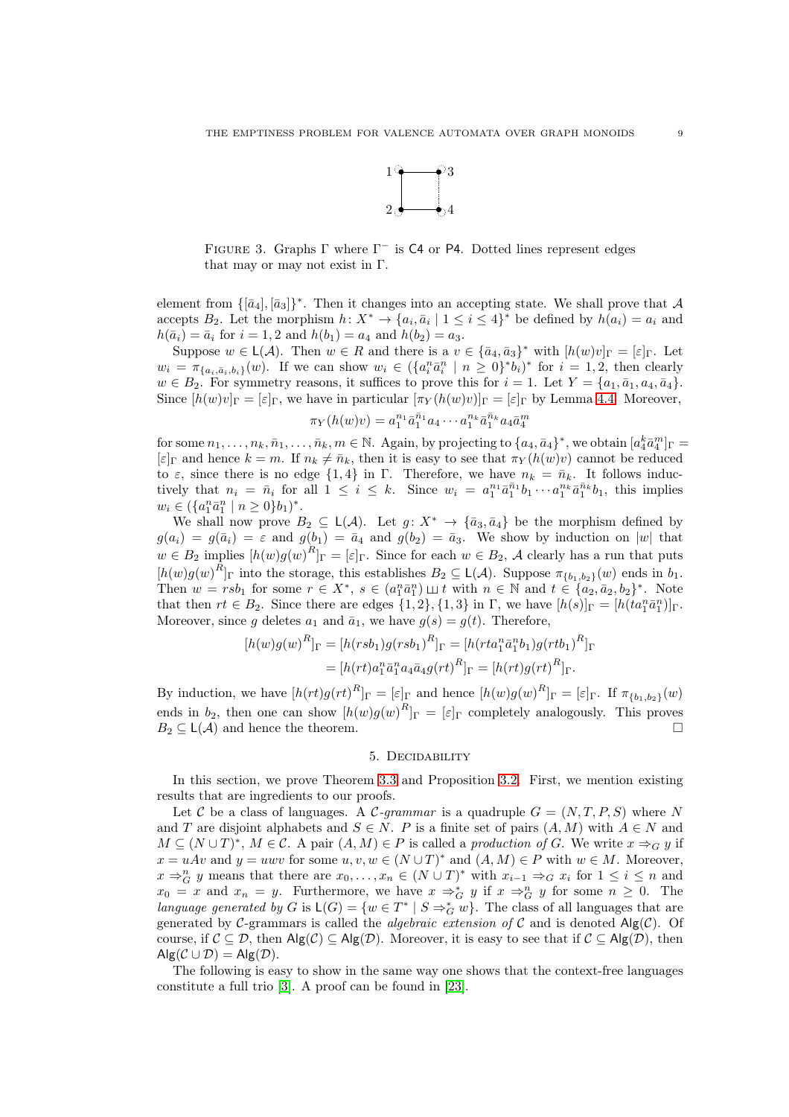

<span id="page-8-1"></span>FIGURE 3. Graphs  $\Gamma$  where  $\Gamma^-$  is C4 or P4. Dotted lines represent edges that may or may not exist in Γ.

element from  $\{[\bar{a}_4], [\bar{a}_3]\}^*$ . Then it changes into an accepting state. We shall prove that A accepts  $B_2$ . Let the morphism  $h: X^* \to \{a_i, \bar{a}_i \mid 1 \leq i \leq 4\}^*$  be defined by  $h(a_i) = a_i$  and  $h(\bar{a}_i) = \bar{a}_i$  for  $i = 1, 2$  and  $h(b_1) = a_4$  and  $h(b_2) = a_3$ .

Suppose  $w \in \mathsf{L}(\mathcal{A})$ . Then  $w \in R$  and there is a  $v \in {\overline{a}}_4, {\overline{a}}_3$ <sup>\*</sup> with  $[h(w)v]_{\Gamma} = [\varepsilon]_{\Gamma}$ . Let  $w_i = \pi_{\{a_i, \bar{a}_i, b_i\}}(w)$ . If we can show  $w_i \in (\{a_i^n \bar{a}_i^n \mid n \geq 0\}^* b_i)^*$  for  $i = 1, 2$ , then clearly  $w \in B_2$ . For symmetry reasons, it suffices to prove this for  $i = 1$ . Let  $Y = \{a_1, \bar{a}_1, a_4, \bar{a}_4\}.$ Since  $[h(w)v]_{\Gamma} = [\varepsilon]_{\Gamma}$ , we have in particular  $[\pi_Y(h(w)v)]_{\Gamma} = [\varepsilon]_{\Gamma}$  by Lemma [4.4.](#page-7-3) Moreover,

$$
\pi_Y(h(w)v) = a_1^{n_1} \bar{a}_1^{\bar{n}_1} a_4 \cdots a_1^{n_k} \bar{a}_1^{\bar{n}_k} a_4 \bar{a}_4^m
$$

for some  $n_1, \ldots, n_k, \bar{n}_1, \ldots, \bar{n}_k, m \in \mathbb{N}$ . Again, by projecting to  $\{a_4, \bar{a}_4\}^*$ , we obtain  $[a_4^k \bar{a}_4^m]_{\Gamma} =$  $[\varepsilon]_{\Gamma}$  and hence  $k = m$ . If  $n_k \neq \bar{n}_k$ , then it is easy to see that  $\pi_Y(h(w)v)$  cannot be reduced to  $\varepsilon$ , since there is no edge  $\{1,4\}$  in  $\Gamma$ . Therefore, we have  $n_k = \bar{n}_k$ . It follows inductively that  $n_i = \bar{n}_i$  for all  $1 \leq i \leq k$ . Since  $w_i = a_1^{n_1} \bar{a}_1^{\bar{n}_1} b_1 \cdots a_1^{n_k} \bar{a}_1^{\bar{n}_k} b_1$ , this implies  $w_i \in (\{a_1^n \bar{a}_1^n \mid n \geq 0\}b_1)^*.$ 

We shall now prove  $B_2 \subseteq L(\mathcal{A})$ . Let  $g: X^* \to {\bar{a}_3, \bar{a}_4}$  be the morphism defined by  $g(a_i) = g(\bar{a}_i) = \varepsilon$  and  $g(b_1) = \bar{a}_4$  and  $g(b_2) = \bar{a}_3$ . We show by induction on |w| that  $w \in B_2$  implies  $[h(w)g(w)^R]$ <sub> $\Gamma$ </sub> =  $[\varepsilon]$ <sub> $\Gamma$ </sub>. Since for each  $w \in B_2$ , A clearly has a run that puts  $[h(w)g(w)^R]$ <sub>Γ</sub> into the storage, this establishes  $B_2 \subseteq L(\mathcal{A})$ . Suppose  $\pi_{\{b_1,b_2\}}(w)$  ends in  $b_1$ . Then  $w = rsb_1$  for some  $r \in X^*$ ,  $s \in (a_1^n \bar{a}_1^n) \sqcup t$  with  $n \in \mathbb{N}$  and  $t \in \{a_2, \bar{a}_2, b_2\}^*$ . Note that then  $rt \in B_2$ . Since there are edges  $\{1,2\}, \{1,3\}$  in  $\Gamma$ , we have  $[h(s)]_{\Gamma} = [h(ta_1^n\bar{a}_1^n)]_{\Gamma}$ . Moreover, since g deletes  $a_1$  and  $\bar{a}_1$ , we have  $g(s) = g(t)$ . Therefore,

$$
[h(w)g(w)^{R}]_{\Gamma} = [h(rsb_1)g(rsb_1)^{R}]_{\Gamma} = [h(rta_1^n\bar{a}_1^n b_1)g(rtb_1)^{R}]_{\Gamma}
$$
  
= 
$$
[h(rt)a_1^n\bar{a}_1^n a_4\bar{a}_4g(rt)^{R}]_{\Gamma} = [h(rt)g(rt)^{R}]_{\Gamma}.
$$

By induction, we have  $[h(rt)g(rt)^R]_{\Gamma} = [\varepsilon]_{\Gamma}$  and hence  $[h(w)g(w)^R]_{\Gamma} = [\varepsilon]_{\Gamma}$ . If  $\pi_{\{b_1, b_2\}}(w)$ ends in  $b_2$ , then one can show  $[h(w)g(w)^R]$ <sub> $\Gamma = [\varepsilon]$ </sub> completely analogously. This proves  $B_2 \subseteq L(\mathcal{A})$  and hence the theorem.

# 5. Decidability

<span id="page-8-0"></span>In this section, we prove Theorem [3.3](#page-4-2) and Proposition [3.2.](#page-4-3) First, we mention existing results that are ingredients to our proofs.

Let C be a class of languages. A C-grammar is a quadruple  $G = (N, T, P, S)$  where N and T are disjoint alphabets and  $S \in N$ . P is a finite set of pairs  $(A, M)$  with  $A \in N$  and  $M \subseteq (N \cup T)^*$ ,  $M \in \mathcal{C}$ . A pair  $(A, M) \in P$  is called a production of G. We write  $x \Rightarrow_G y$  if  $x = uAv$  and  $y = uwv$  for some  $u, v, w \in (N \cup T)^*$  and  $(A, M) \in P$  with  $w \in M$ . Moreover,  $x \Rightarrow_G^n y$  means that there are  $x_0, \ldots, x_n \in (N \cup T)^*$  with  $x_{i-1} \Rightarrow_G x_i$  for  $1 \leq i \leq n$  and  $x_0 = x$  and  $x_n = y$ . Furthermore, we have  $x \Rightarrow_G^* y$  if  $x \Rightarrow_G^n y$  for some  $n \geq 0$ . The language generated by G is  $\mathsf{L}(G) = \{w \in T^* \mid S \Rightarrow^*_{G} w\}$ . The class of all languages that are generated by C-grammars is called the *algebraic extension of* C and is denoted  $\text{Alg}(\mathcal{C})$ . Of course, if  $C \subseteq \mathcal{D}$ , then  $\mathsf{Alg}(\mathcal{C}) \subseteq \mathsf{Alg}(\mathcal{D})$ . Moreover, it is easy to see that if  $C \subseteq \mathsf{Alg}(\mathcal{D})$ , then  $\mathrm{Alg}(\mathcal{C}\cup\mathcal{D})=\mathrm{Alg}(\mathcal{D}).$ 

<span id="page-8-2"></span>The following is easy to show in the same way one shows that the context-free languages constitute a full trio [\[3\]](#page-21-8). A proof can be found in [\[23\]](#page-22-2).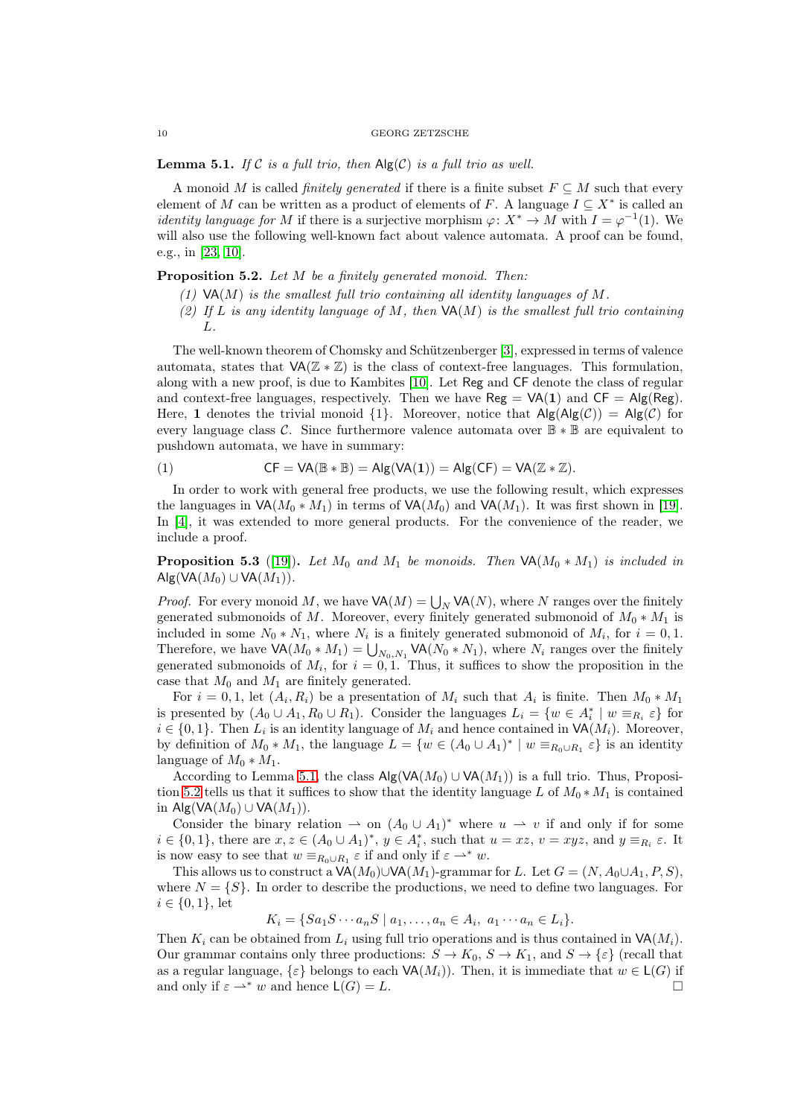**Lemma 5.1.** If C is a full trio, then  $\text{Alg}(\mathcal{C})$  is a full trio as well.

A monoid M is called *finitely generated* if there is a finite subset  $F \subseteq M$  such that every element of M can be written as a product of elements of F. A language  $I \subseteq X^*$  is called an *identity language for* M if there is a surjective morphism  $\varphi: X^* \to M$  with  $I = \varphi^{-1}(1)$ . We will also use the following well-known fact about valence automata. A proof can be found, e.g., in [\[23,](#page-22-2) [10\]](#page-21-12).

<span id="page-9-0"></span>Proposition 5.2. Let M be a finitely generated monoid. Then:

- (1)  $VA(M)$  is the smallest full trio containing all identity languages of M.
- (2) If L is any identity language of M, then  $\mathsf{VA}(M)$  is the smallest full trio containing L.

The well-known theorem of Chomsky and Schützenberger [\[3\]](#page-21-8), expressed in terms of valence automata, states that  $VA(\mathbb{Z} * \mathbb{Z})$  is the class of context-free languages. This formulation, along with a new proof, is due to Kambites [\[10\]](#page-21-12). Let Reg and CF denote the class of regular and context-free languages, respectively. Then we have Reg =  $VA(1)$  and  $CF = Alg(Reg)$ . Here, 1 denotes the trivial monoid  $\{1\}$ . Moreover, notice that  $\mathsf{Alg}(\mathsf{Alg}(\mathcal{C})) = \mathsf{Alg}(\mathcal{C})$  for every language class C. Since furthermore valence automata over  $\mathbb{B} * \mathbb{B}$  are equivalent to pushdown automata, we have in summary:

<span id="page-9-2"></span>
$$
(1) \tCF = VA(\mathbb{B} * \mathbb{B}) = Alg(VA(1)) = Alg(CF) = VA(\mathbb{Z} * \mathbb{Z}).
$$

In order to work with general free products, we use the following result, which expresses the languages in  $\mathsf{VA}(M_0 * M_1)$  in terms of  $\mathsf{VA}(M_0)$  and  $\mathsf{VA}(M_1)$ . It was first shown in [\[19\]](#page-22-0). In [\[4\]](#page-21-13), it was extended to more general products. For the convenience of the reader, we include a proof.

<span id="page-9-1"></span>**Proposition 5.3** ([\[19\]](#page-22-0)). Let  $M_0$  and  $M_1$  be monoids. Then  $VA(M_0 * M_1)$  is included in  $\mathsf{Alg}(\mathsf{VA}(M_0) \cup \mathsf{VA}(M_1)).$ 

*Proof.* For every monoid M, we have  $VA(M) = \bigcup_N VA(N)$ , where N ranges over the finitely generated submonoids of M. Moreover, every finitely generated submonoid of  $M_0 * M_1$  is included in some  $N_0 * N_1$ , where  $N_i$  is a finitely generated submonoid of  $M_i$ , for  $i = 0, 1$ . Therefore, we have  $\mathsf{VA}(M_0 * M_1) = \bigcup_{N_0, N_1} \mathsf{VA}(N_0 * N_1)$ , where  $N_i$  ranges over the finitely generated submonoids of  $M_i$ , for  $i = 0, 1$ . Thus, it suffices to show the proposition in the case that  $M_0$  and  $M_1$  are finitely generated.

For  $i = 0, 1$ , let  $(A_i, R_i)$  be a presentation of  $M_i$  such that  $A_i$  is finite. Then  $M_0 * M_1$ is presented by  $(A_0 \cup A_1, R_0 \cup R_1)$ . Consider the languages  $L_i = \{w \in A_i^* \mid w \equiv_{R_i} \varepsilon\}$  for  $i \in \{0,1\}$ . Then  $L_i$  is an identity language of  $M_i$  and hence contained in  $\mathsf{VA}(M_i)$ . Moreover, by definition of  $M_0 * M_1$ , the language  $L = \{w \in (A_0 \cup A_1)^* \mid w \equiv_{R_0 \cup R_1} \varepsilon\}$  is an identity language of  $M_0 * M_1$ .

According to Lemma [5.1,](#page-8-2) the class  $\text{Alg}(\text{VA}(M_0) \cup \text{VA}(M_1))$  is a full trio. Thus, Proposi-tion [5.2](#page-9-0) tells us that it suffices to show that the identity language L of  $M_0 * M_1$  is contained in Alg(VA $(M_0)$  ∪ VA $(M_1)$ ).

Consider the binary relation  $\to$  on  $(A_0 \cup A_1)^*$  where  $u \to v$  if and only if for some  $i \in \{0,1\}$ , there are  $x, z \in (A_0 \cup A_1)^*$ ,  $y \in A_i^*$ , such that  $u = xz$ ,  $v = xyz$ , and  $y \equiv_{R_i} \varepsilon$ . It is now easy to see that  $w \equiv_{R_0 \cup R_1} \varepsilon$  if and only if  $\varepsilon \to^* w$ .

This allows us to construct a  $\mathsf{VA}(M_0) \cup \mathsf{VA}(M_1)$ -grammar for L. Let  $G = (N, A_0 \cup A_1, P, S),$ where  $N = \{S\}$ . In order to describe the productions, we need to define two languages. For  $i \in \{0, 1\}, \text{let}$ 

 $K_i = \{Sa_1S \cdots a_nS \mid a_1, \ldots, a_n \in A_i, a_1 \cdots a_n \in L_i\}.$ 

Then  $K_i$  can be obtained from  $L_i$  using full trio operations and is thus contained in  $\mathsf{VA}(M_i)$ . Our grammar contains only three productions:  $S \to K_0$ ,  $S \to K_1$ , and  $S \to {\varepsilon}$  (recall that as a regular language,  $\{\varepsilon\}$  belongs to each  $\mathsf{VA}(M_i)$ . Then, it is immediate that  $w \in \mathsf{L}(G)$  if and only if  $\varepsilon \rightharpoonup^* w$  and hence  $\mathsf{L}(G) = L$ .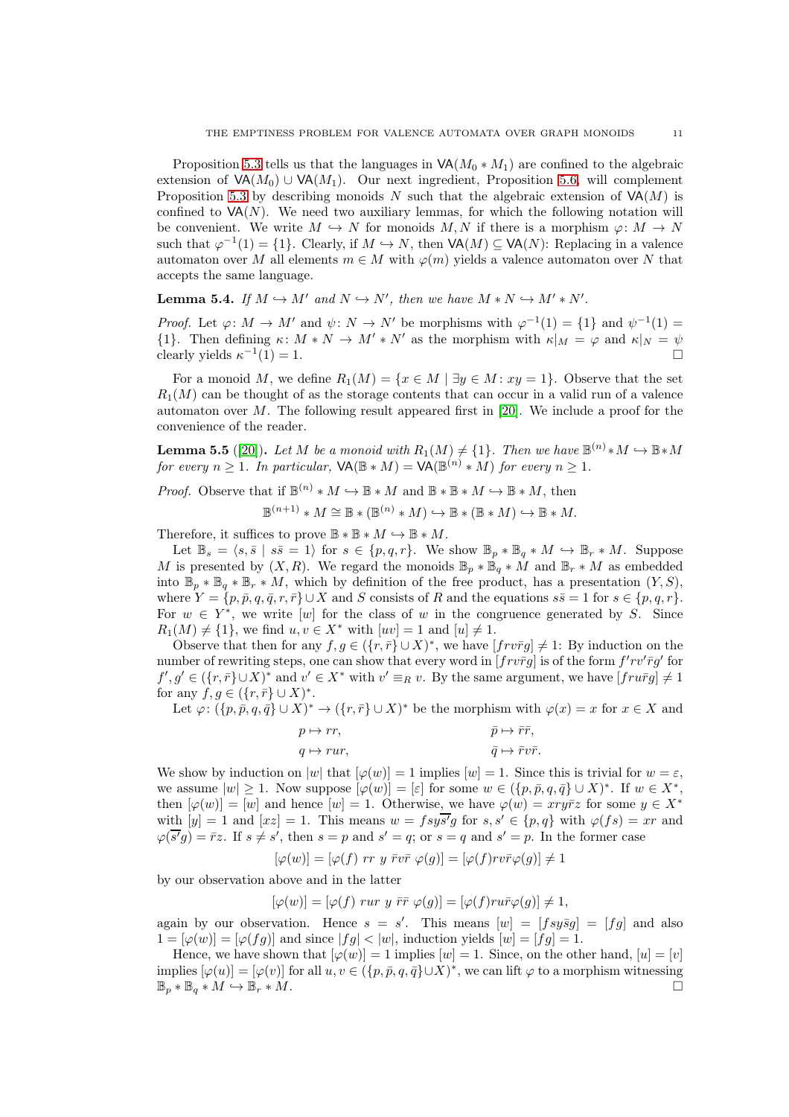Proposition [5.3](#page-9-1) tells us that the languages in  $VA(M_0 * M_1)$  are confined to the algebraic extension of  $\mathsf{VA}(M_0) \cup \mathsf{VA}(M_1)$ . Our next ingredient, Proposition [5.6,](#page-11-0) will complement Proposition [5.3](#page-9-1) by describing monoids N such that the algebraic extension of  $VA(M)$  is confined to  $\mathsf{VA}(N)$ . We need two auxiliary lemmas, for which the following notation will be convenient. We write  $M \hookrightarrow N$  for monoids M, N if there is a morphism  $\varphi \colon M \to N$ such that  $\varphi^{-1}(1) = \{1\}$ . Clearly, if  $M \hookrightarrow N$ , then  $\mathsf{VA}(M) \subseteq \mathsf{VA}(N)$ : Replacing in a valence automaton over M all elements  $m \in M$  with  $\varphi(m)$  yields a valence automaton over N that accepts the same language.

**Lemma 5.4.** If  $M \hookrightarrow M'$  and  $N \hookrightarrow N'$ , then we have  $M * N \hookrightarrow M' * N'$ .

*Proof.* Let  $\varphi: M \to M'$  and  $\psi: N \to N'$  be morphisms with  $\varphi^{-1}(1) = \{1\}$  and  $\psi^{-1}(1) =$  ${1}$ . Then defining  $\kappa: M*N \to M'*N'$  as the morphism with  $\kappa|_M = \varphi$  and  $\kappa|_N = \psi$ clearly yields  $\kappa^{-1}$  $(1) = 1.$ 

For a monoid M, we define  $R_1(M) = \{x \in M \mid \exists y \in M : xy = 1\}$ . Observe that the set  $R_1(M)$  can be thought of as the storage contents that can occur in a valid run of a valence automaton over  $M$ . The following result appeared first in [\[20\]](#page-22-4). We include a proof for the convenience of the reader.

<span id="page-10-0"></span>**Lemma 5.5** ([\[20\]](#page-22-4)). Let M be a monoid with  $R_1(M) \neq \{1\}$ . Then we have  $\mathbb{B}^{(n)} * M \hookrightarrow \mathbb{B} * M$ for every  $n \geq 1$ . In particular,  $\mathsf{VA}(\mathbb{B} * M) = \mathsf{VA}(\mathbb{B}^{(n)} * M)$  for every  $n \geq 1$ .

*Proof.* Observe that if  $\mathbb{B}^{(n)} * M \hookrightarrow \mathbb{B} * M$  and  $\mathbb{B} * \mathbb{B} * M \hookrightarrow \mathbb{B} * M$ , then

 $\mathbb{B}^{(n+1)} * M \cong \mathbb{B} * (\mathbb{B}^{(n)} * M) \hookrightarrow \mathbb{B} * (\mathbb{B} * M) \hookrightarrow \mathbb{B} * M.$ 

Therefore, it suffices to prove  $\mathbb{B} * \mathbb{B} * M \hookrightarrow \mathbb{B} * M$ .

Let  $\mathbb{B}_s = \langle s, \overline{s} \mid s\overline{s} = 1 \rangle$  for  $s \in \{p, q, r\}$ . We show  $\mathbb{B}_p * \mathbb{B}_q * M \hookrightarrow \mathbb{B}_r * M$ . Suppose M is presented by  $(X, R)$ . We regard the monoids  $\mathbb{B}_p * \mathbb{B}_q * M$  and  $\mathbb{B}_r * M$  as embedded into  $\mathbb{B}_p * \mathbb{B}_q * \mathbb{B}_r * M$ , which by definition of the free product, has a presentation  $(Y, S)$ , where  $Y = \{p, \bar{p}, q, \bar{q}, r, \bar{r}\} \cup X$  and S consists of R and the equations  $s\bar{s} = 1$  for  $s \in \{p, q, r\}$ . For  $w \in Y^*$ , we write [w] for the class of w in the congruence generated by S. Since  $R_1(M) \neq \{1\}$ , we find  $u, v \in X^*$  with  $|uv| = 1$  and  $|u| \neq 1$ .

Observe that then for any  $f, g \in (\lbrace r, \overline{r} \rbrace \cup X)^*$ , we have  $[f r v \overline{r} g] \neq 1$ : By induction on the number of rewriting steps, one can show that every word in  $[frv\bar{r}g]$  is of the form  $f'rv'\bar{r}g'$  for  $f', g' \in (\lbrace r, \overline{r} \rbrace \cup X)^*$  and  $v' \in X^*$  with  $v' \equiv_R v$ . By the same argument, we have  $[fru\overline{r}g] \neq 1$ for any  $f, g \in (\lbrace r, \overline{r} \rbrace \cup X)^*$ .

Let  $\varphi: (\{p, \bar{p}, q, \bar{q}\} \cup X)^* \to (\{r, \bar{r}\} \cup X)^*$  be the morphism with  $\varphi(x) = x$  for  $x \in X$  and

| $p \mapsto rr$ ,    | $\bar{p} \mapsto \bar{r}\bar{r}$ ,  |
|---------------------|-------------------------------------|
| $q \mapsto r u r$ , | $\bar{q} \mapsto \bar{r}v\bar{r}$ . |

We show by induction on  $|w|$  that  $[\varphi(w)] = 1$  implies  $[w] = 1$ . Since this is trivial for  $w = \varepsilon$ , we assume  $|w| \geq 1$ . Now suppose  $[\varphi(w)] = [\varepsilon]$  for some  $w \in (\{p, \bar{p}, q, \bar{q}\} \cup X)^*$ . If  $w \in X^*$ , then  $[\varphi(w)] = [w]$  and hence  $[w] = 1$ . Otherwise, we have  $\varphi(w) = xry\bar{r}z$  for some  $y \in X^*$ with  $[y] = 1$  and  $[xz] = 1$ . This means  $w = f s y s' g$  for  $s, s' \in \{p, q\}$  with  $\varphi(f s) = x r$  and  $\varphi(\overline{s'}g) = \overline{r}z$ . If  $s \neq s'$ , then  $s = p$  and  $s' = q$ ; or  $s = q$  and  $s' = p$ . In the former case

$$
[\varphi(w)] = [\varphi(f) \; r r \; y \; \bar{r} v \bar{r} \; \varphi(g)] = [\varphi(f) r v \bar{r} \varphi(g)] \neq 1
$$

by our observation above and in the latter

$$
[\varphi(w)] = [\varphi(f) \; rur \; y \; \bar{r}\bar{r} \; \varphi(g)] = [\varphi(f) ru\bar{r}\varphi(g)] \neq 1,
$$

again by our observation. Hence  $s = s'$ . This means  $[w] = [fsy\bar{s}g] = [fg]$  and also  $1 = [\varphi(w)] = [\varphi(fq)]$  and since  $|fq| < |w|$ , induction yields  $[w] = [fq] = 1$ .

Hence, we have shown that  $[\varphi(w)] = 1$  implies  $[w] = 1$ . Since, on the other hand,  $[u] = [v]$ implies  $[\varphi(u)] = [\varphi(v)]$  for all  $u, v \in (\{p, \bar{p}, q, \bar{q}\} \cup X)^*$ , we can lift  $\varphi$  to a morphism witnessing  $\mathbb{B}_p * \mathbb{B}_q * M \hookrightarrow \mathbb{B}_r * M.$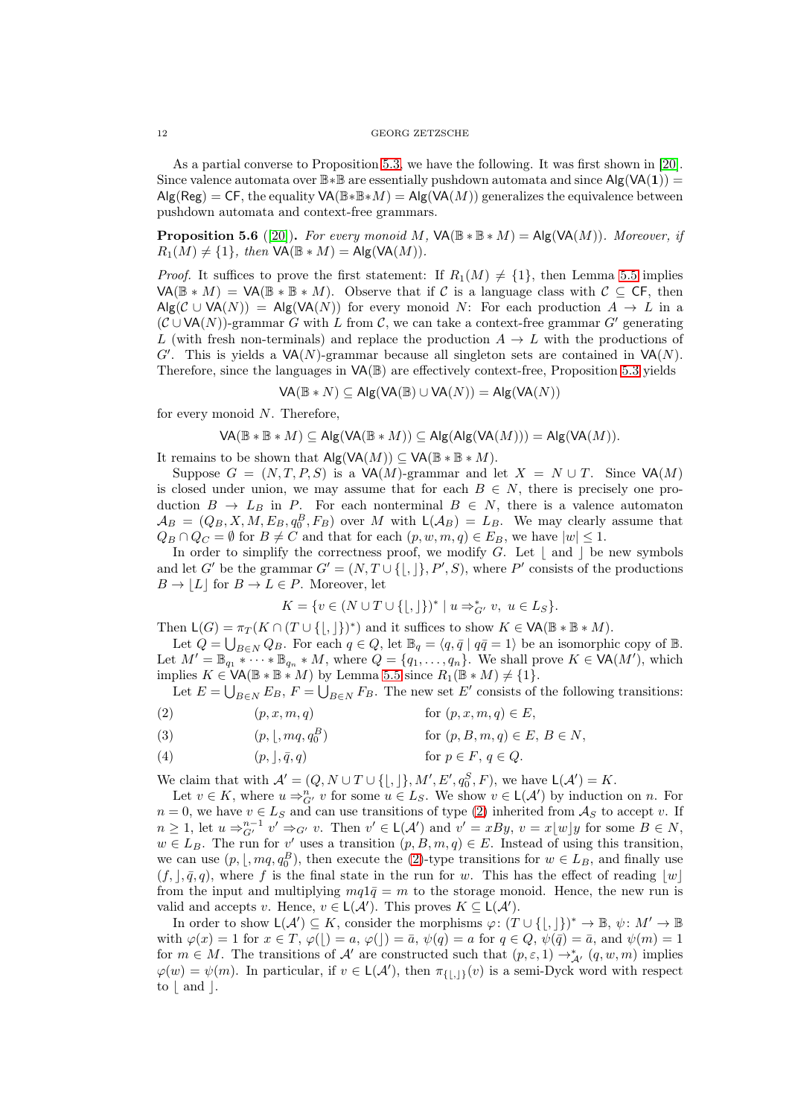As a partial converse to Proposition [5.3,](#page-9-1) we have the following. It was first shown in [\[20\]](#page-22-4). Since valence automata over  $\mathbb{B} * \mathbb{B}$  are essentially pushdown automata and since  $\mathsf{Alg}(\mathsf{VA}(1)) =$  $\mathsf{Alg}(\mathsf{Reg}) = \mathsf{CF},$  the equality  $\mathsf{VA}(\mathbb{B} * \mathbb{B} * M) = \mathsf{Alg}(\mathsf{VA}(M))$  generalizes the equivalence between pushdown automata and context-free grammars.

<span id="page-11-0"></span>**Proposition 5.6** ([\[20\]](#page-22-4)). For every monoid M,  $\mathsf{VA}(\mathbb{B} * \mathbb{B} * M) = \mathsf{Alg}(\mathsf{VA}(M))$ . Moreover, if  $R_1(M) \neq \{1\}, \text{ then } \mathsf{VA}(\mathbb{B} * M) = \mathsf{Alg}(\mathsf{VA}(M)).$ 

*Proof.* It suffices to prove the first statement: If  $R_1(M) \neq \{1\}$ , then Lemma [5.5](#page-10-0) implies  $\mathsf{VA}(\mathbb{B} * M) = \mathsf{VA}(\mathbb{B} * \mathbb{B} * M)$ . Observe that if C is a language class with  $\mathcal{C} \subseteq \mathsf{CF}$ , then  $\text{Alg}(\mathcal{C} \cup \text{VA}(N)) = \text{Alg}(\text{VA}(N))$  for every monoid N: For each production  $A \rightarrow L$  in a  $(C \cup VA(N))$ -grammar G with L from C, we can take a context-free grammar G' generating L (with fresh non-terminals) and replace the production  $A \to L$  with the productions of  $G'$ . This is yields a VA(N)-grammar because all singleton sets are contained in VA(N). Therefore, since the languages in  $VA(\mathbb{B})$  are effectively context-free, Proposition [5.3](#page-9-1) yields

 $VA(\mathbb{B} * N) \subseteq Alg(VA(\mathbb{B}) \cup VA(N)) = Alg(VA(N))$ 

for every monoid  $N$ . Therefore,

$$
\mathsf{VA}(\mathbb{B} * \mathbb{B} * M) \subseteq \mathsf{Alg}(\mathsf{VA}(\mathbb{B} * M)) \subseteq \mathsf{Alg}(\mathsf{Alg}(\mathsf{VA}(M))) = \mathsf{Alg}(\mathsf{VA}(M)).
$$

It remains to be shown that  $\mathsf{Alg}(\mathsf{VA}(M)) \subset \mathsf{VA}(\mathbb{B} * \mathbb{B} * M).$ 

Suppose  $G = (N, T, P, S)$  is a VA(M)-grammar and let  $X = N \cup T$ . Since VA(M) is closed under union, we may assume that for each  $B \in N$ , there is precisely one production  $B \to L_B$  in P. For each nonterminal  $B \in N$ , there is a valence automaton  $\mathcal{A}_B = (Q_B, X, M, E_B, q_0^B, F_B)$  over M with  $\mathsf{L}(\mathcal{A}_B) = L_B$ . We may clearly assume that  $Q_B \cap Q_C = \emptyset$  for  $B \neq C$  and that for each  $(p, w, m, q) \in E_B$ , we have  $|w| \leq 1$ .

In order to simplify the correctness proof, we modify  $G$ . Let  $|$  and  $|$  be new symbols and let G' be the grammar  $G' = (N, T \cup \{\lfloor, \rfloor\}, P', S)$ , where P' consists of the productions  $B \to |L|$  for  $B \to L \in P$ . Moreover, let

$$
K = \{ v \in (N \cup T \cup \{\lfloor, \rfloor\})^* \mid u \Rightarrow_{G'}^* v, u \in L_S \}.
$$

Then  $\mathsf{L}(G) = \pi_T(K \cap (T \cup \{\lfloor, \rfloor\})^*)$  and it suffices to show  $K \in \mathsf{VA}(\mathbb{B} * \mathbb{B} * M)$ .

Let  $Q = \bigcup_{B \in N} Q_B$ . For each  $q \in Q$ , let  $\mathbb{B}_q = \langle q, \overline{q} \mid q\overline{q} = 1 \rangle$  be an isomorphic copy of  $\mathbb{B}$ . Let  $M' = \mathbb{B}_{q_1} * \cdots * \mathbb{B}_{q_n} * M$ , where  $Q = \{q_1, \ldots, q_n\}$ . We shall prove  $K \in VA(M')$ , which implies  $K \in \mathsf{VA}(\mathbb{B} * \mathbb{B} * M)$  by Lemma [5.5](#page-10-0) since  $R_1(\mathbb{B} * M) \neq \{1\}.$ 

Let  $E = \bigcup_{B \in N} E_B$ ,  $F = \bigcup_{B \in N} F_B$ . The new set E' consists of the following transitions:

<span id="page-11-1"></span>(2)  $(p, x, m, q)$  for  $(p, x, m, q) \in E$ ,

<span id="page-11-2"></span>(3) 
$$
(p, \lfloor, mq, q_0^B \rfloor)
$$
 for  $(p, B, m, q) \in E, B \in N$ ,

<span id="page-11-3"></span>
$$
(4) \t\t\t\t(p, |, \bar{q}, q) \t\t\t\t\tfor p \in F, q \in Q.
$$

We claim that with  $\mathcal{A}' = (Q, N \cup T \cup \{\lfloor, \rfloor\}, M', E', q_0^S, F)$ , we have  $\mathsf{L}(\mathcal{A}') = K$ .

Let  $v \in K$ , where  $u \Rightarrow_{G'}^n v$  for some  $u \in L_S$ . We show  $v \in L(\mathcal{A}')$  by induction on n. For  $n = 0$ , we have  $v \in L_S$  and can use transitions of type [\(2\)](#page-11-1) inherited from  $\mathcal{A}_S$  to accept v. If  $n \geq 1$ , let  $u \Rightarrow_{G'}^{n-1} v' \Rightarrow_{G'} v$ . Then  $v' \in \mathsf{L}(\mathcal{A}')$  and  $v' = xBy$ ,  $v = x \lfloor w \rfloor y$  for some  $B \in N$ ,  $w \in L_B$ . The run for v' uses a transition  $(p, B, m, q) \in E$ . Instead of using this transition, we can use  $(p, \xi, mq, q_0^B)$ , then execute the [\(2\)](#page-11-1)-type transitions for  $w \in L_B$ , and finally use  $(f, \vert, \bar{q}, q)$ , where f is the final state in the run for w. This has the effect of reading  $|w|$ from the input and multiplying  $mq_1\bar{q} = m$  to the storage monoid. Hence, the new run is valid and accepts v. Hence,  $v \in L(\mathcal{A}')$ . This proves  $K \subseteq L(\mathcal{A}')$ .

In order to show  $L(\mathcal{A}') \subseteq K$ , consider the morphisms  $\varphi: (T \cup \{\lfloor, \rfloor\})^* \to \mathbb{B}, \psi \colon M' \to \mathbb{B}$ with  $\varphi(x) = 1$  for  $x \in T$ ,  $\varphi(\underline{\ } ) = a$ ,  $\varphi(\underline{\ } ) = \overline{a}$ ,  $\psi(q) = a$  for  $q \in Q$ ,  $\psi(\overline{q}) = \overline{a}$ , and  $\psi(m) = 1$ for  $m \in M$ . The transitions of A' are constructed such that  $(p, \varepsilon, 1) \to_{\mathcal{A}'}^* (q, w, m)$  implies  $\varphi(w) = \psi(m)$ . In particular, if  $v \in L(\mathcal{A}')$ , then  $\pi_{\{+, \}}(v)$  is a semi-Dyck word with respect to  $|$  and  $|$ .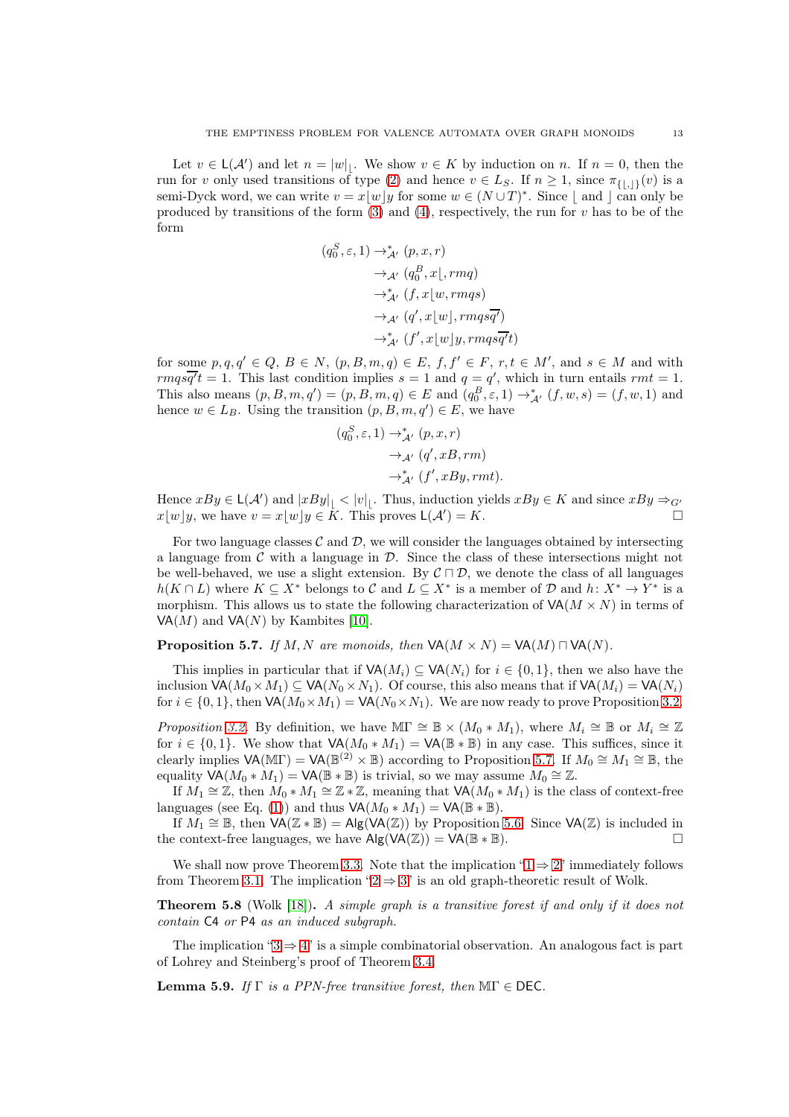Let  $v \in \mathsf{L}(\mathcal{A}')$  and let  $n = |w|_1$ . We show  $v \in K$  by induction on n. If  $n = 0$ , then the run for v only used transitions of type [\(2\)](#page-11-1) and hence  $v \in L_S$ . If  $n \geq 1$ , since  $\pi_{\{|\cdot|\cdot|\}}(v)$  is a semi-Dyck word, we can write  $v = x \lfloor w \rfloor y$  for some  $w \in (N \cup T)^*$ . Since  $\lfloor$  and  $\rfloor$  can only be produced by transitions of the form  $(3)$  and  $(4)$ , respectively, the run for v has to be of the form

$$
(q_0^S, \varepsilon, 1) \rightarrow^*_{\mathcal{A}'} (p, x, r)
$$
  
\n
$$
\rightarrow_{\mathcal{A}'} (q_0^B, x \mid, rmq)
$$
  
\n
$$
\rightarrow^*_{\mathcal{A}'} (f, x \mid w, rmgs)
$$
  
\n
$$
\rightarrow_{\mathcal{A}'} (q', x \mid w \mid, rmgs\overline{q'})
$$
  
\n
$$
\rightarrow^*_{\mathcal{A}'} (f', x \mid w \mid y, rmgs\overline{q't})
$$

for some  $p, q, q' \in Q$ ,  $B \in N$ ,  $(p, B, m, q) \in E$ ,  $f, f' \in F$ ,  $r, t \in M'$ , and  $s \in M$  and with  $rmqs\overline{q'}t=1$ . This last condition implies  $s=1$  and  $q=q'$ , which in turn entails  $rm=1$ . This also means  $(p, B, m, q') = (p, B, m, q) \in E$  and  $(q_0^B, \varepsilon, 1) \to_{A'}^* (f, w, s) = (f, w, 1)$  and hence  $w \in L_B$ . Using the transition  $(p, B, m, q') \in E$ , we have

$$
(q_0^S, \varepsilon, 1) \to^*_{\mathcal{A}'} (p, x, r)
$$
  
\n
$$
\to_{\mathcal{A}'} (q', xB, rm)
$$
  
\n
$$
\to^*_{\mathcal{A}'} (f', xBy, rmt).
$$

Hence  $xBy \in L(\mathcal{A}')$  and  $|xBy|_{\mathcal{L}} < |v|_{\mathcal{L}}$ . Thus, induction yields  $xBy \in K$  and since  $xBy \Rightarrow_{G'}$  $x[w]y$ , we have  $v = x[w]y \in K$ . This proves  $\mathsf{L}(\mathcal{A}') = K$ .

For two language classes  $\mathcal C$  and  $\mathcal D$ , we will consider the languages obtained by intersecting a language from  $\mathcal C$  with a language in  $\mathcal D$ . Since the class of these intersections might not be well-behaved, we use a slight extension. By  $\mathcal{C} \cap \mathcal{D}$ , we denote the class of all languages  $h(K \cap L)$  where  $K \subseteq X^*$  belongs to C and  $L \subseteq X^*$  is a member of D and  $h: X^* \to Y^*$  is a morphism. This allows us to state the following characterization of  $VA(M \times N)$  in terms of  $VA(M)$  and  $VA(N)$  by Kambites [\[10\]](#page-21-12).

<span id="page-12-0"></span>**Proposition 5.7.** If M, N are monoids, then  $\mathsf{VA}(M \times N) = \mathsf{VA}(M) \cap \mathsf{VA}(N)$ .

This implies in particular that if  $VA(M_i) \subseteq VA(N_i)$  for  $i \in \{0, 1\}$ , then we also have the inclusion  $\mathsf{VA}(M_0 \times M_1) \subseteq \mathsf{VA}(N_0 \times N_1)$ . Of course, this also means that if  $\mathsf{VA}(M_i) = \mathsf{VA}(N_i)$ for  $i \in \{0,1\}$ , then  $\mathsf{VA}(M_0 \times M_1) = \mathsf{VA}(N_0 \times N_1)$ . We are now ready to prove Proposition [3.2.](#page-4-3)

*Proposition [3.2.](#page-4-3)* By definition, we have  $\mathbb{M}\Gamma \cong \mathbb{B} \times (M_0 * M_1)$ , where  $M_i \cong \mathbb{B}$  or  $M_i \cong \mathbb{Z}$ for  $i \in \{0,1\}$ . We show that  $\mathsf{VA}(M_0 * M_1) = \mathsf{VA}(\mathbb{B} * \mathbb{B})$  in any case. This suffices, since it clearly implies  $VA(M\Gamma) = VA(\mathbb{B}^{(2)} \times \mathbb{B})$  according to Proposition [5.7.](#page-12-0) If  $M_0 \cong M_1 \cong \mathbb{B}$ , the equality  $\mathsf{VA}(M_0 * M_1) = \mathsf{VA}(\mathbb{B} * \mathbb{B})$  is trivial, so we may assume  $M_0 \cong \mathbb{Z}$ .

If  $M_1 \cong \mathbb{Z}$ , then  $M_0 * M_1 \cong \mathbb{Z} * \mathbb{Z}$ , meaning that  $\mathsf{VA}(M_0 * M_1)$  is the class of context-free languages (see Eq. [\(1\)](#page-9-2)) and thus  $VA(M_0 * M_1) = VA(\mathbb{B} * \mathbb{B}).$ 

If  $M_1 \cong \mathbb{B}$ , then  $\mathsf{VA}(\mathbb{Z} * \mathbb{B}) = \mathsf{Alg}(\mathsf{VA}(\mathbb{Z}))$  by Proposition [5.6.](#page-11-0) Since  $\mathsf{VA}(\mathbb{Z})$  is included in the context-free languages, we have  $\mathsf{Alg}(\mathsf{VA}(\mathbb{Z})) = \mathsf{VA}(\mathbb{B} * \mathbb{B}).$ 

<span id="page-12-1"></span>We shall now prove Theorem [3.3.](#page-4-2) Note that the implication " $1 \Rightarrow 2$ " immediately follows from Theorem [3.1.](#page-3-1) The implication "[2](#page-5-3)  $\Rightarrow$  [3"](#page-5-4) is an old graph-theoretic result of Wolk.

Theorem 5.8 (Wolk [\[18\]](#page-22-5)). A simple graph is a transitive forest if and only if it does not contain C4 or P4 as an induced subgraph.

<span id="page-12-2"></span>The implication " $3 \Rightarrow 4$ " is a simple combinatorial observation. An analogous fact is part of Lohrey and Steinberg's proof of Theorem [3.4.](#page-5-0)

**Lemma 5.9.** If  $\Gamma$  is a PPN-free transitive forest, then  $\mathbb{M}\Gamma \in \mathsf{DEC}$ .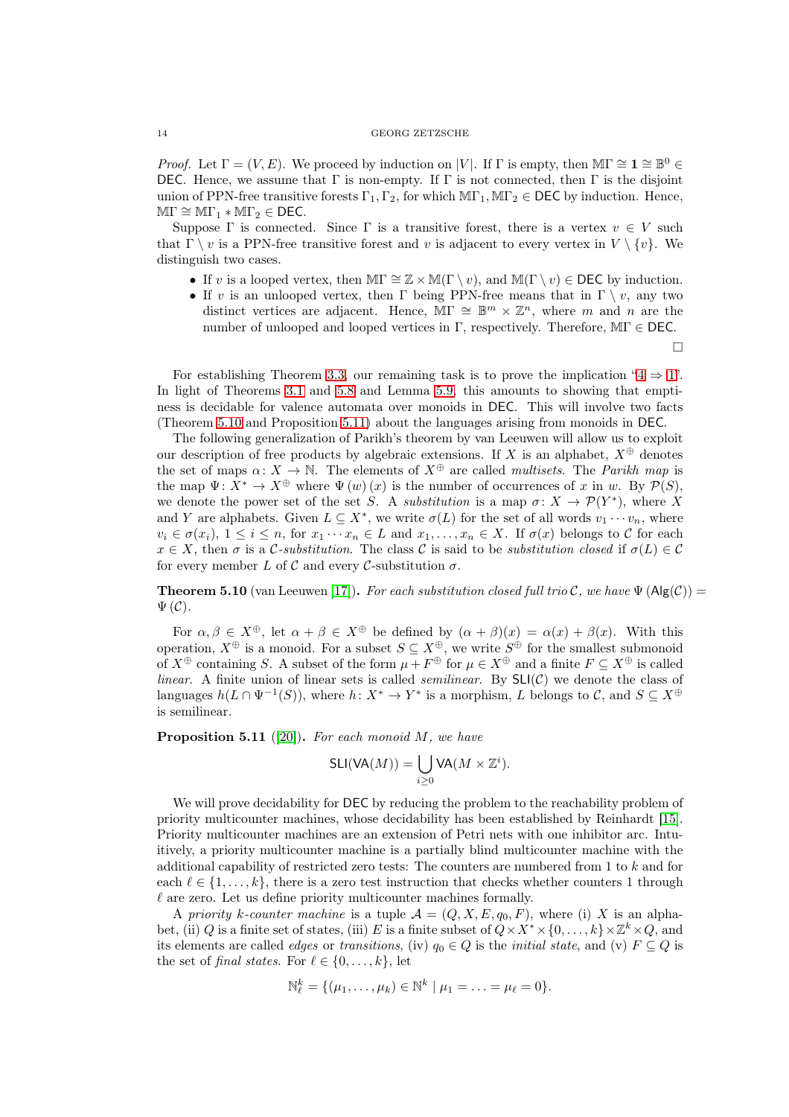*Proof.* Let  $\Gamma = (V, E)$ . We proceed by induction on |V|. If  $\Gamma$  is empty, then  $\mathbb{M}\Gamma \cong \mathbf{1} \cong \mathbb{B}^0$ DEC. Hence, we assume that  $\Gamma$  is non-empty. If  $\Gamma$  is not connected, then  $\Gamma$  is the disjoint union of PPN-free transitive forests  $\Gamma_1, \Gamma_2$ , for which  $MT_1, MT_2 \in$  DEC by induction. Hence,  $MT \cong MT_1 * MT_2 \in DEC.$ 

Suppose Γ is connected. Since Γ is a transitive forest, there is a vertex  $v \in V$  such that  $\Gamma \setminus v$  is a PPN-free transitive forest and v is adjacent to every vertex in  $V \setminus \{v\}$ . We distinguish two cases.

- If v is a looped vertex, then MΓ  $\cong \mathbb{Z} \times \mathbb{M}(\Gamma \setminus v)$ , and  $\mathbb{M}(\Gamma \setminus v) \in \mathsf{DEC}$  by induction.
- If v is an unlooped vertex, then  $\Gamma$  being PPN-free means that in  $\Gamma \setminus v$ , any two distinct vertices are adjacent. Hence,  $\mathbb{M}\Gamma \cong \mathbb{B}^m \times \mathbb{Z}^n$ , where m and n are the number of unlooped and looped vertices in  $\Gamma$ , respectively. Therefore,  $\mathbb{M}\Gamma \in \mathsf{DEC}$ .

 $\Box$ 

For establishing Theorem [3.3,](#page-4-2) our remaining task is to prove the implication " $4 \Rightarrow 1$ ". In light of Theorems [3.1](#page-3-1) and [5.8](#page-12-1) and Lemma [5.9,](#page-12-2) this amounts to showing that emptiness is decidable for valence automata over monoids in DEC. This will involve two facts (Theorem [5.10](#page-13-1) and Proposition [5.11\)](#page-13-0) about the languages arising from monoids in DEC.

The following generalization of Parikh's theorem by van Leeuwen will allow us to exploit our description of free products by algebraic extensions. If X is an alphabet,  $X^{\oplus}$  denotes the set of maps  $\alpha: X \to \mathbb{N}$ . The elements of  $X^{\oplus}$  are called *multisets*. The *Parikh map* is the map  $\Psi: X^* \to X^{\oplus}$  where  $\Psi(w)(x)$  is the number of occurrences of x in w. By  $\mathcal{P}(S)$ , we denote the power set of the set S. A *substitution* is a map  $\sigma: X \to \mathcal{P}(Y^*)$ , where X and Y are alphabets. Given  $L \subseteq X^*$ , we write  $\sigma(L)$  for the set of all words  $v_1 \cdots v_n$ , where  $v_i \in \sigma(x_i)$ ,  $1 \leq i \leq n$ , for  $x_1 \cdots x_n \in L$  and  $x_1, \ldots, x_n \in X$ . If  $\sigma(x)$  belongs to C for each  $x \in X$ , then  $\sigma$  is a C-substitution. The class C is said to be substitution closed if  $\sigma(L) \in \mathcal{C}$ for every member L of C and every C-substitution  $\sigma$ .

<span id="page-13-1"></span>**Theorem 5.10** (van Leeuwen [\[17\]](#page-22-6)). For each substitution closed full trio C, we have  $\Psi$  (Alg(C)) =  $\Psi(\mathcal{C})$ .

For  $\alpha, \beta \in X^{\oplus}$ , let  $\alpha + \beta \in X^{\oplus}$  be defined by  $(\alpha + \beta)(x) = \alpha(x) + \beta(x)$ . With this operation,  $X^{\oplus}$  is a monoid. For a subset  $S \subseteq X^{\oplus}$ , we write  $S^{\oplus}$  for the smallest submonoid of  $X^{\oplus}$  containing S. A subset of the form  $\mu + F^{\oplus}$  for  $\mu \in X^{\oplus}$  and a finite  $F \subseteq X^{\oplus}$  is called *linear.* A finite union of linear sets is called *semilinear*. By  $SL(C)$  we denote the class of languages  $h(L \cap \Psi^{-1}(S))$ , where  $h: X^* \to Y^*$  is a morphism, L belongs to C, and  $S \subseteq X^{\oplus}$ is semilinear.

<span id="page-13-0"></span>**Proposition 5.11** ([\[20\]](#page-22-4)). For each monoid M, we have

$$
\mathsf{SLI}(\mathsf{VA}(M)) = \bigcup_{i \geq 0} \mathsf{VA}(M \times \mathbb{Z}^i).
$$

We will prove decidability for DEC by reducing the problem to the reachability problem of priority multicounter machines, whose decidability has been established by Reinhardt [\[15\]](#page-21-1). Priority multicounter machines are an extension of Petri nets with one inhibitor arc. Intuitively, a priority multicounter machine is a partially blind multicounter machine with the additional capability of restricted zero tests: The counters are numbered from 1 to  $k$  and for each  $\ell \in \{1, \ldots, k\}$ , there is a zero test instruction that checks whether counters 1 through  $\ell$  are zero. Let us define priority multicounter machines formally.

A priority k-counter machine is a tuple  $\mathcal{A} = (Q, X, E, q_0, F)$ , where (i) X is an alphabet, (ii) Q is a finite set of states, (iii) E is a finite subset of  $Q \times X^* \times \{0, \ldots, k\} \times \mathbb{Z}^k \times Q$ , and its elements are called *edges* or transitions, (iv)  $q_0 \in Q$  is the *initial state*, and (v)  $F \subseteq Q$  is the set of final states. For  $\ell \in \{0, \ldots, k\}$ , let

$$
\mathbb{N}_{\ell}^{k} = \{(\mu_{1}, \ldots, \mu_{k}) \in \mathbb{N}^{k} \mid \mu_{1} = \ldots = \mu_{\ell} = 0\}.
$$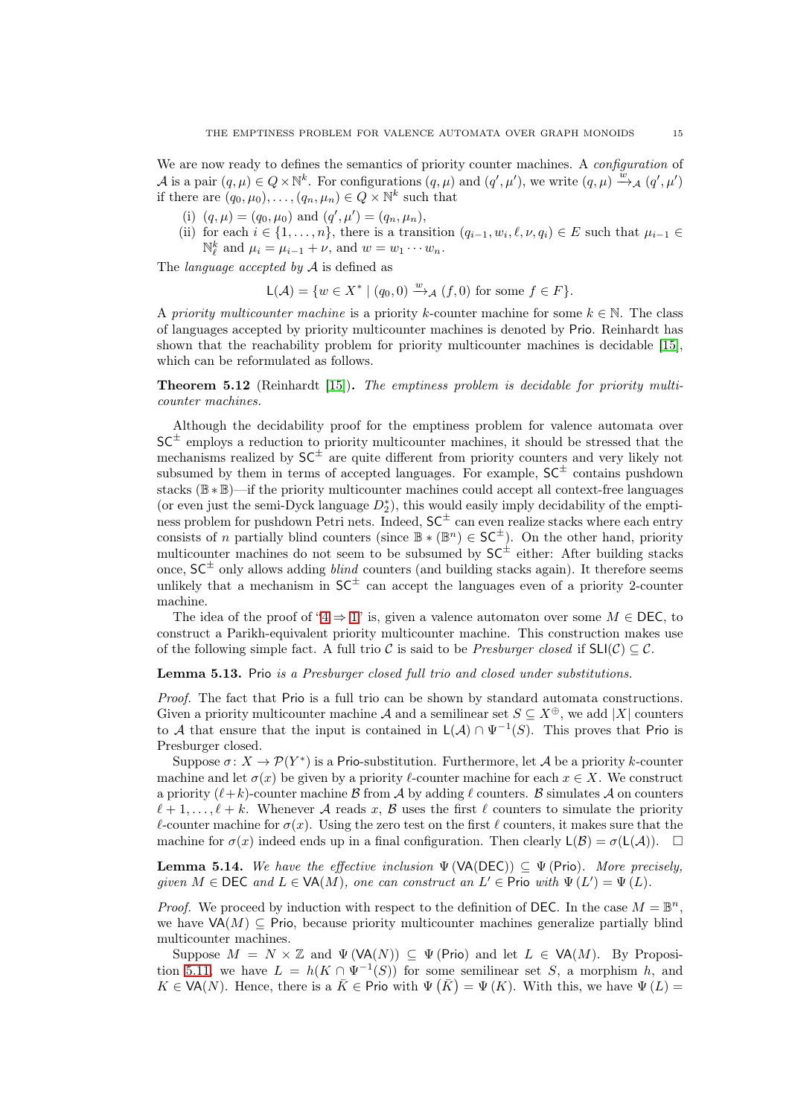We are now ready to defines the semantics of priority counter machines. A configuration of A is a pair  $(q, \mu) \in Q \times \mathbb{N}^k$ . For configurations  $(q, \mu)$  and  $(q', \mu')$ , we write  $(q, \mu) \stackrel{w}{\longrightarrow}_\mathcal{A} (q', \mu')$ if there are  $(q_0, \mu_0), \ldots, (q_n, \mu_n) \in Q \times \mathbb{N}^k$  such that

- (i)  $(q, \mu) = (q_0, \mu_0)$  and  $(q', \mu') = (q_n, \mu_n)$ ,
- (ii) for each  $i \in \{1, \ldots, n\}$ , there is a transition  $(q_{i-1}, w_i, \ell, \nu, q_i) \in E$  such that  $\mu_{i-1} \in$  $\mathbb{N}_{\ell}^{k}$  and  $\mu_{i} = \mu_{i-1} + \nu$ , and  $w = w_{1} \cdots w_{n}$ .

The *language accepted by*  $A$  is defined as

$$
\mathsf{L}(\mathcal{A}) = \{ w \in X^* \mid (q_0, 0) \xrightarrow{w} \mathcal{A} (f, 0) \text{ for some } f \in F \}.
$$

A priority multicounter machine is a priority k-counter machine for some  $k \in \mathbb{N}$ . The class of languages accepted by priority multicounter machines is denoted by Prio. Reinhardt has shown that the reachability problem for priority multicounter machines is decidable [\[15\]](#page-21-1), which can be reformulated as follows.

<span id="page-14-0"></span>Theorem 5.12 (Reinhardt [\[15\]](#page-21-1)). The emptiness problem is decidable for priority multicounter machines.

Although the decidability proof for the emptiness problem for valence automata over  $SC^{\pm}$  employs a reduction to priority multicounter machines, it should be stressed that the mechanisms realized by  $SC^{\pm}$  are quite different from priority counters and very likely not subsumed by them in terms of accepted languages. For example,  $SC^{\pm}$  contains pushdown stacks (B∗B)—if the priority multicounter machines could accept all context-free languages (or even just the semi-Dyck language  $D_2^*$ ), this would easily imply decidability of the emptiness problem for pushdown Petri nets. Indeed,  $SC^{\pm}$  can even realize stacks where each entry consists of *n* partially blind counters (since  $\mathbb{B} * (\mathbb{B}^n) \in \mathsf{SC}^{\pm}$ ). On the other hand, priority multicounter machines do not seem to be subsumed by  $SC^{\pm}$  either: After building stacks once,  $SC^{\pm}$  only allows adding *blind* counters (and building stacks again). It therefore seems unlikely that a mechanism in  $SC^{\pm}$  can accept the languages even of a priority 2-counter machine.

The idea of the proof of "[4](#page-5-5)  $\Rightarrow$  [1"](#page-5-2) is, given a valence automaton over some  $M \in \mathsf{DEC}$ , to construct a Parikh-equivalent priority multicounter machine. This construction makes use of the following simple fact. A full trio C is said to be *Presburger closed* if  $SL(C) \subseteq C$ .

<span id="page-14-1"></span>Lemma 5.13. Prio is a Presburger closed full trio and closed under substitutions.

Proof. The fact that Prio is a full trio can be shown by standard automata constructions. Given a priority multicounter machine A and a semilinear set  $S \subseteq X^{\oplus}$ , we add |X| counters to A that ensure that the input is contained in  $\mathsf{L}(\mathcal{A}) \cap \Psi^{-1}(S)$ . This proves that Prio is Presburger closed.

Suppose  $\sigma: X \to \mathcal{P}(Y^*)$  is a Prio-substitution. Furthermore, let A be a priority k-counter machine and let  $\sigma(x)$  be given by a priority  $\ell$ -counter machine for each  $x \in X$ . We construct a priority  $(\ell + k)$ -counter machine B from A by adding  $\ell$  counters. B simulates A on counters  $\ell+1,\ldots,\ell+k$ . Whenever A reads x, B uses the first  $\ell$  counters to simulate the priority  $\ell$ -counter machine for  $\sigma(x)$ . Using the zero test on the first  $\ell$  counters, it makes sure that the machine for  $\sigma(x)$  indeed ends up in a final configuration. Then clearly  $L(\mathcal{B}) = \sigma(L(\mathcal{A}))$ .

<span id="page-14-2"></span>**Lemma 5.14.** We have the effective inclusion  $\Psi$  (VA(DEC))  $\subset \Psi$  (Prio). More precisely, given  $M \in \text{DEC}$  and  $L \in \text{VA}(M)$ , one can construct an  $L' \in \text{Prior with } \Psi(L') = \Psi(L)$ .

*Proof.* We proceed by induction with respect to the definition of DEC. In the case  $M = \mathbb{B}^n$ , we have  $\mathsf{VA}(M) \subseteq \mathsf{Prio}$ , because priority multicounter machines generalize partially blind multicounter machines.

Suppose  $M = N \times \mathbb{Z}$  and  $\Psi(\mathsf{VA}(N)) \subseteq \Psi(\mathsf{Prio})$  and let  $L \in \mathsf{VA}(M)$ . By Proposi-tion [5.11,](#page-13-0) we have  $L = h(K \cap \Psi^{-1}(S))$  for some semilinear set S, a morphism h, and  $K \in \text{VA}(N)$ . Hence, there is a  $\overline{K} \in \text{Prio with } \Psi(\overline{K}) = \Psi(K)$ . With this, we have  $\Psi(L) =$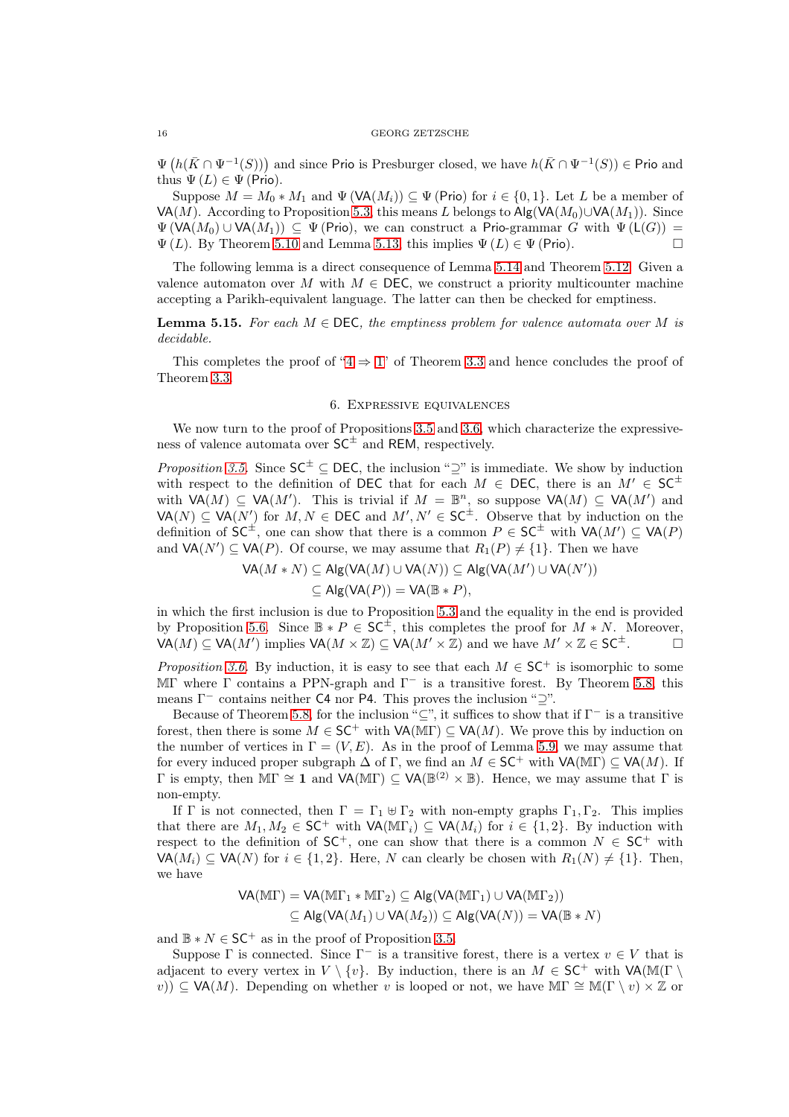$\Psi(h(\bar{K} \cap \Psi^{-1}(S)))$  and since Prio is Presburger closed, we have  $h(\bar{K} \cap \Psi^{-1}(S)) \in$  Prio and thus  $\Psi(L) \in \Psi$  (Prio).

Suppose  $M = M_0 * M_1$  and  $\Psi(\text{VA}(M_i)) \subseteq \Psi(\text{Prio})$  for  $i \in \{0,1\}$ . Let L be a member of VA(M). According to Proposition [5.3,](#page-9-1) this means L belongs to Alg(VA(M<sub>0</sub>)∪VA(M<sub>1</sub>)). Since  $\Psi(\text{VA}(M_0) \cup \text{VA}(M_1)) \subseteq \Psi(\text{Prio})$ , we can construct a Prio-grammar G with  $\Psi(L(G)) = \Psi(L)$ . By Theorem 5.10 and Lemma 5.13, this implies  $\Psi(L) \in \Psi(\text{Prio})$  $\Psi(L)$ . By Theorem [5.10](#page-13-1) and Lemma [5.13,](#page-14-1) this implies  $\Psi(L) \in \Psi$  (Prio).

The following lemma is a direct consequence of Lemma [5.14](#page-14-2) and Theorem [5.12:](#page-14-0) Given a valence automaton over M with  $M \in \mathsf{DEC}$ , we construct a priority multicounter machine accepting a Parikh-equivalent language. The latter can then be checked for emptiness.

**Lemma 5.15.** For each  $M \in \text{DEC}$ , the emptiness problem for valence automata over M is decidable.

<span id="page-15-0"></span>This completes the proof of " $4 \Rightarrow 1$ " of Theorem [3.3](#page-4-2) and hence concludes the proof of Theorem [3.3.](#page-4-2)

### 6. Expressive equivalences

We now turn to the proof of Propositions [3.5](#page-5-1) and [3.6,](#page-6-2) which characterize the expressiveness of valence automata over  $SC^{\pm}$  and REM, respectively.

*Proposition [3.5.](#page-5-1)* Since  $SC^{\pm} \subseteq DEC$ , the inclusion " $\supseteq$ " is immediate. We show by induction with respect to the definition of DEC that for each  $M \in \text{DEC}$ , there is an  $M' \in \text{SC}^{\pm}$ with  $\mathsf{VA}(M) \subseteq \mathsf{VA}(M')$ . This is trivial if  $M = \mathbb{B}^n$ , so suppose  $\mathsf{VA}(M) \subseteq \mathsf{VA}(M')$  and VA(N) ⊆ VA(N') for  $M, N \in \text{DEC}$  and  $M', N' \in \text{SC}^{\pm}$ . Observe that by induction on the definition of  $SC^{\pm}$ , one can show that there is a common  $P \in SC^{\pm}$  with  $VA(M') \subseteq VA(P)$ and  $\mathsf{VA}(N') \subseteq \mathsf{VA}(P)$ . Of course, we may assume that  $R_1(P) \neq \{1\}$ . Then we have

$$
\mathsf{VA}(M*N) \subseteq \mathsf{Alg}(\mathsf{VA}(M) \cup \mathsf{VA}(N)) \subseteq \mathsf{Alg}(\mathsf{VA}(M') \cup \mathsf{VA}(N'))
$$
  

$$
\subseteq \mathsf{Alg}(\mathsf{VA}(P)) = \mathsf{VA}(\mathbb{B} * P),
$$

in which the first inclusion is due to Proposition [5.3](#page-9-1) and the equality in the end is provided by Proposition [5.6.](#page-11-0) Since  $\mathbb{B} * P \in \mathsf{SC}^{\pm}$ , this completes the proof for  $M * N$ . Moreover,  $\mathsf{VA}(M) \subseteq \mathsf{VA}(M')$  implies  $\mathsf{VA}(M \times \mathbb{Z}) \subseteq \mathsf{VA}(M' \times \mathbb{Z})$  and we have  $M' \times \mathbb{Z} \in \mathsf{SC}^{\pm}$ .

Proposition [3.6.](#page-6-2) By induction, it is easy to see that each  $M \in \mathsf{SC}^+$  is isomorphic to some MΓ where  $\Gamma$  contains a PPN-graph and  $\Gamma^-$  is a transitive forest. By Theorem [5.8,](#page-12-1) this means  $\Gamma^-$  contains neither C4 nor P4. This proves the inclusion " $\supseteq$ ".

Because of Theorem [5.8,](#page-12-1) for the inclusion " $\subseteq$ ", it suffices to show that if  $\Gamma^-$  is a transitive forest, then there is some  $M \in \mathsf{SC}^+$  with  $\mathsf{VA}(\mathbb{MT}) \subseteq \mathsf{VA}(M)$ . We prove this by induction on the number of vertices in  $\Gamma = (V, E)$ . As in the proof of Lemma [5.9,](#page-12-2) we may assume that for every induced proper subgraph  $\Delta$  of Γ, we find an  $M \in \mathsf{SC}^+$  with  $\mathsf{VA}(\mathbb{MT}) \subset \mathsf{VA}(M)$ . If  $Γ$  is empty, then MΓ  $\cong$  1 and VA(MΓ)  $\subseteq$  VA( $\mathbb{B}^{(2)} \times \mathbb{B}$ ). Hence, we may assume that Γ is non-empty.

If  $\Gamma$  is not connected, then  $\Gamma = \Gamma_1 \oplus \Gamma_2$  with non-empty graphs  $\Gamma_1, \Gamma_2$ . This implies that there are  $M_1, M_2 \in \mathsf{SC}^+$  with  $\mathsf{VA}(\mathbb{MT}_i) \subseteq \mathsf{VA}(M_i)$  for  $i \in \{1, 2\}$ . By induction with respect to the definition of  $SC^+$ , one can show that there is a common  $N \in SC^+$  with  $\mathsf{VA}(M_i) \subseteq \mathsf{VA}(N)$  for  $i \in \{1,2\}$ . Here, N can clearly be chosen with  $R_1(N) \neq \{1\}$ . Then, we have

$$
\mathsf{VA}(\mathbb{M}\Gamma) = \mathsf{VA}(\mathbb{M}\Gamma_1 * \mathbb{M}\Gamma_2) \subseteq \mathsf{Alg}(\mathsf{VA}(\mathbb{M}\Gamma_1) \cup \mathsf{VA}(\mathbb{M}\Gamma_2))
$$
  

$$
\subseteq \mathsf{Alg}(\mathsf{VA}(M_1) \cup \mathsf{VA}(M_2)) \subseteq \mathsf{Alg}(\mathsf{VA}(N)) = \mathsf{VA}(\mathbb{B} * N)
$$

and  $\mathbb{B} * N \in \mathsf{SC}^+$  as in the proof of Proposition [3.5.](#page-5-1)

Suppose  $\Gamma$  is connected. Since  $\Gamma^-$  is a transitive forest, there is a vertex  $v \in V$  that is adjacent to every vertex in  $V \setminus \{v\}$ . By induction, there is an  $M \in \mathsf{SC^+}$  with  $\mathsf{VA}(\mathbb{M}(\Gamma))$ *v*))  $\subseteq$  VA(*M*). Depending on whether *v* is looped or not, we have MΓ  $\cong$  M(Γ \ *v*)  $\times$  Z or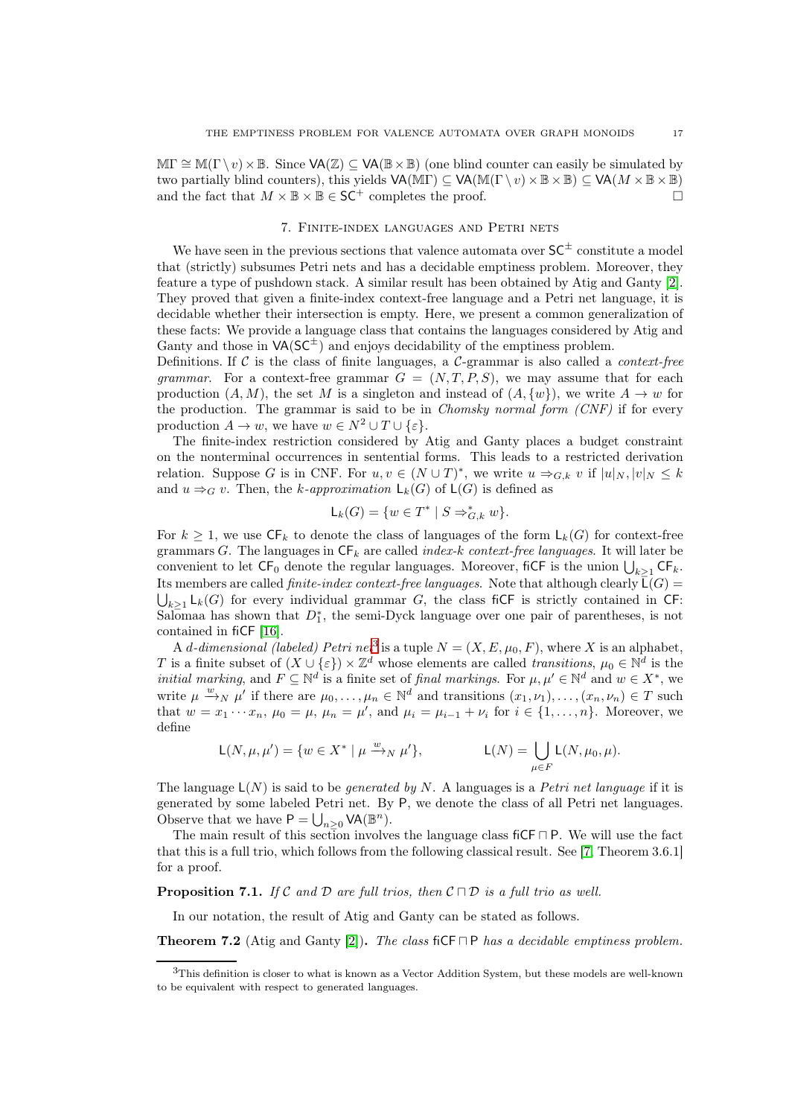$\mathbb{M}\Gamma \cong \mathbb{M}(\Gamma \setminus v) \times \mathbb{B}$ . Since  $\mathsf{VA}(\mathbb{Z}) \subseteq \mathsf{VA}(\mathbb{B} \times \mathbb{B})$  (one blind counter can easily be simulated by two partially blind counters), this yields  $\mathsf{VA}(\mathbb{MT}) \subseteq \mathsf{VA}(\mathbb{MT} \setminus v) \times \mathbb{B} \times \mathbb{B}) \subseteq \mathsf{VA}(M \times \mathbb{B} \times \mathbb{B})$ and the fact that  $M \times \mathbb{B} \times \mathbb{B} \in \mathsf{SC}^+$  completes the proof.

# 7. Finite-index languages and Petri nets

<span id="page-16-0"></span>We have seen in the previous sections that valence automata over  $SC^{\pm}$  constitute a model that (strictly) subsumes Petri nets and has a decidable emptiness problem. Moreover, they feature a type of pushdown stack. A similar result has been obtained by Atig and Ganty [\[2\]](#page-21-2). They proved that given a finite-index context-free language and a Petri net language, it is decidable whether their intersection is empty. Here, we present a common generalization of these facts: We provide a language class that contains the languages considered by Atig and Ganty and those in  $VA(SC^{\pm})$  and enjoys decidability of the emptiness problem.

Definitions. If C is the class of finite languages, a C-grammar is also called a *context-free* grammar. For a context-free grammar  $G = (N, T, P, S)$ , we may assume that for each production  $(A, M)$ , the set M is a singleton and instead of  $(A, \{w\})$ , we write  $A \to w$  for the production. The grammar is said to be in *Chomsky normal form*  $(CNF)$  if for every production  $A \to w$ , we have  $w \in N^2 \cup T \cup \{\varepsilon\}.$ 

The finite-index restriction considered by Atig and Ganty places a budget constraint on the nonterminal occurrences in sentential forms. This leads to a restricted derivation relation. Suppose G is in CNF. For  $u, v \in (N \cup T)^*$ , we write  $u \Rightarrow_{G,k} v$  if  $|u|_N, |v|_N \leq k$ and  $u \Rightarrow_G v$ . Then, the k-approximation  $\mathsf{L}_k(G)$  of  $\mathsf{L}(G)$  is defined as

$$
\mathsf{L}_k(G) = \{ w \in T^* \mid S \Rightarrow_{G,k}^* w \}.
$$

For  $k \geq 1$ , we use  $\mathsf{CF}_k$  to denote the class of languages of the form  $\mathsf{L}_k(G)$  for context-free grammars G. The languages in  $CF_k$  are called *index-k context-free languages*. It will later be convenient to let  $CF_0$  denote the regular languages. Moreover, fiCF is the union  $\bigcup_{k\geq 1} CF_k$ . Its members are called *finite-index context-free languages*. Note that although clearly  $\mathsf{L}(G)$  =  $\bigcup_{k\geq 1} \mathsf{L}_k(G)$  for every individual grammar G, the class fiCF is strictly contained in CF: Salomaa has shown that  $D_1^*$ , the semi-Dyck language over one pair of parentheses, is not contained in fiCF [\[16\]](#page-21-14).

A *d*-dimensional (labeled) Petri net<sup>[3](#page-16-1)</sup> is a tuple  $N = (X, E, \mu_0, F)$ , where X is an alphabet, T is a finite subset of  $(X \cup \{\varepsilon\}) \times \mathbb{Z}^d$  whose elements are called *transitions*,  $\mu_0 \in \mathbb{N}^d$  is the *initial marking*, and  $F \subseteq \mathbb{N}^d$  is a finite set of *final markings*. For  $\mu, \mu' \in \mathbb{N}^d$  and  $w \in X^*$ , we write  $\mu \stackrel{w}{\to}_N \mu'$  if there are  $\mu_0, \ldots, \mu_n \in \mathbb{N}^d$  and transitions  $(x_1, \nu_1), \ldots, (x_n, \nu_n) \in T$  such that  $w = x_1 \cdots x_n$ ,  $\mu_0 = \mu$ ,  $\mu_n = \mu'$ , and  $\mu_i = \mu_{i-1} + \nu_i$  for  $i \in \{1, ..., n\}$ . Moreover, we define

$$
L(N, \mu, \mu') = \{ w \in X^* \mid \mu \xrightarrow{w} W \mu' \}, \qquad L(N) = \bigcup_{\mu \in F} L(N, \mu_0, \mu).
$$

The language  $\mathsf{L}(N)$  is said to be *generated by N*. A languages is a *Petri net language* if it is generated by some labeled Petri net. By P, we denote the class of all Petri net languages. Observe that we have  $P = \bigcup_{n \geq 0} \text{VA}(\mathbb{B}^n)$ .

The main result of this section involves the language class fiCF ⊓ P. We will use the fact that this is a full trio, which follows from the following classical result. See [\[7,](#page-21-15) Theorem 3.6.1] for a proof.

# **Proposition 7.1.** If C and D are full trios, then  $C \sqcap D$  is a full trio as well.

<span id="page-16-2"></span>In our notation, the result of Atig and Ganty can be stated as follows.

Theorem 7.2 (Atig and Ganty [\[2\]](#page-21-2)). The class fiCF  $\sqcap$  P has a decidable emptiness problem.

<span id="page-16-1"></span><sup>3</sup>This definition is closer to what is known as a Vector Addition System, but these models are well-known to be equivalent with respect to generated languages.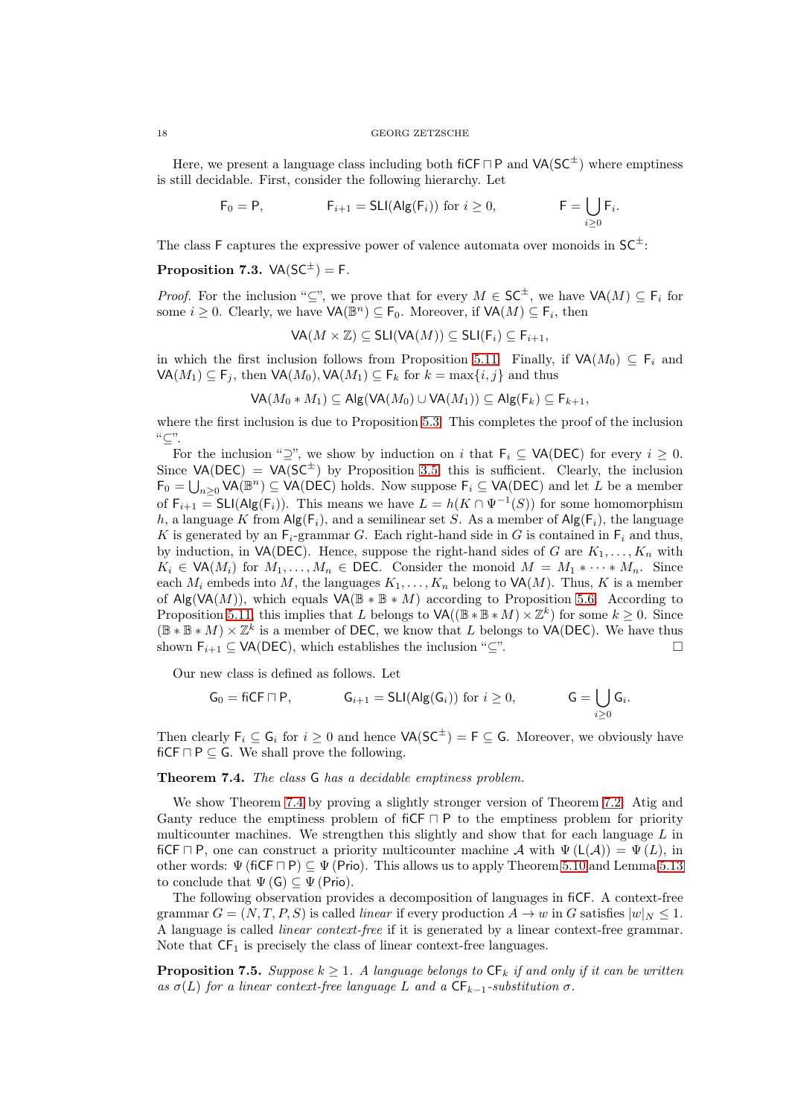Here, we present a language class including both fiCF  $\Box P$  and VA(SC<sup> $\pm$ </sup>) where emptiness is still decidable. First, consider the following hierarchy. Let

$$
\mathsf{F}_0 = \mathsf{P}, \qquad \qquad \mathsf{F}_{i+1} = \mathsf{SLI}(\mathsf{Alg}(\mathsf{F}_i)) \text{ for } i \geq 0, \qquad \qquad \mathsf{F} = \bigcup_{i \geq 0} \mathsf{F}_i.
$$

The class F captures the expressive power of valence automata over monoids in  $SC^{\pm}$ :

# Proposition 7.3.  $VA(SC^{\pm}) = F$ .

*Proof.* For the inclusion "⊆", we prove that for every  $M \in \mathsf{SC}^{\pm}$ , we have  $\mathsf{VA}(M) \subseteq \mathsf{F}_i$  for some  $i \geq 0$ . Clearly, we have  $\mathsf{VA}(\mathbb{B}^n) \subseteq \mathsf{F}_0$ . Moreover, if  $\mathsf{VA}(M) \subseteq \mathsf{F}_i$ , then

$$
\mathsf{VA}(M \times \mathbb{Z}) \subseteq \mathsf{SLI}(\mathsf{VA}(M)) \subseteq \mathsf{SLI}(\mathsf{F}_i) \subseteq \mathsf{F}_{i+1},
$$

in which the first inclusion follows from Proposition [5.11.](#page-13-0) Finally, if  $VA(M_0) \subseteq F_i$  and  $VA(M_1) \subseteq F_i$ , then  $VA(M_0), VA(M_1) \subseteq F_k$  for  $k = \max\{i, j\}$  and thus

$$
\mathsf{VA}(M_0 * M_1) \subseteq \mathsf{Alg}(\mathsf{VA}(M_0) \cup \mathsf{VA}(M_1)) \subseteq \mathsf{Alg}(\mathsf{F}_k) \subseteq \mathsf{F}_{k+1},
$$

where the first inclusion is due to Proposition [5.3.](#page-9-1) This completes the proof of the inclusion "⊆".

For the inclusion " $\supseteq$ ", we show by induction on i that  $F_i \subseteq VA(DEC)$  for every  $i \geq 0$ . Since  $VA(DEC) = VA(SC<sup>±</sup>)$  by Proposition [3.5,](#page-5-1) this is sufficient. Clearly, the inclusion  $\mathsf{F}_0 = \bigcup_{n\geq 0} \mathsf{VA}(\mathbb{B}^n) \subseteq \mathsf{VA}(\mathsf{DEC})$  holds. Now suppose  $\mathsf{F}_i \subseteq \mathsf{VA}(\mathsf{DEC})$  and let L be a member of  $F_{i+1} = SL(A|g(F_i))$ . This means we have  $L = h(K \cap \Psi^{-1}(S))$  for some homomorphism h, a language K from  $\mathsf{Alg}(\mathsf{F}_i)$ , and a semilinear set S. As a member of  $\mathsf{Alg}(\mathsf{F}_i)$ , the language K is generated by an  $\mathsf{F}_i$ -grammar G. Each right-hand side in G is contained in  $\mathsf{F}_i$  and thus, by induction, in VA(DEC). Hence, suppose the right-hand sides of G are  $K_1, \ldots, K_n$  with  $K_i \in \text{VA}(M_i)$  for  $M_1, \ldots, M_n \in \text{DEC.}$  Consider the monoid  $M = M_1 * \cdots * M_n$ . Since each  $M_i$  embeds into M, the languages  $K_1, \ldots, K_n$  belong to  $\mathsf{VA}(M)$ . Thus, K is a member of Alg(VA(M)), which equals VA( $\mathbb{B} * \mathbb{B} * M$ ) according to Proposition [5.6.](#page-11-0) According to Proposition [5.11,](#page-13-0) this implies that L belongs to  $\mathsf{VA}((\mathbb{B} * \mathbb{B} * M) \times \mathbb{Z}^k)$  for some  $k \geq 0$ . Since  $(\mathbb{B} * \mathbb{B} * M) \times \mathbb{Z}^k$  is a member of DEC, we know that L belongs to VA(DEC). We have thus shown  $F_{i+1} \subset VA(DEC)$ , which establishes the inclusion "⊂".

Our new class is defined as follows. Let

$$
\mathsf{G}_0 = \mathsf{fiCF} \sqcap \mathsf{P}, \qquad \qquad \mathsf{G}_{i+1} = \mathsf{SLI}(\mathsf{Alg}(\mathsf{G}_i)) \text{ for } i \geq 0, \qquad \qquad \mathsf{G} = \bigcup_{i \geq 0} \mathsf{G}_i.
$$

<span id="page-17-0"></span>Then clearly  $\mathsf{F}_i \subseteq \mathsf{G}_i$  for  $i \geq 0$  and hence  $\mathsf{VA}(\mathsf{SC}^{\pm}) = \mathsf{F} \subseteq \mathsf{G}$ . Moreover, we obviously have fiCF  $\sqcap$  P  $\subseteq$  G. We shall prove the following.

### Theorem 7.4. The class G has a decidable emptiness problem.

We show Theorem [7.4](#page-17-0) by proving a slightly stronger version of Theorem [7.2:](#page-16-2) Atig and Ganty reduce the emptiness problem of fiCF  $\sqcap$  P to the emptiness problem for priority multicounter machines. We strengthen this slightly and show that for each language  $L$  in fiCF  $\Box$  P, one can construct a priority multicounter machine A with  $\Psi(L(\mathcal{A})) = \Psi(L)$ , in other words:  $\Psi$  (fiCF  $\sqcap$  P)  $\subseteq \Psi$  (Prio). This allows us to apply Theorem [5.10](#page-13-1) and Lemma [5.13](#page-14-1) to conclude that  $\Psi(\mathsf{G}) \subset \Psi(\mathsf{Prio}).$ 

The following observation provides a decomposition of languages in fiCF. A context-free grammar  $G = (N, T, P, S)$  is called *linear* if every production  $A \to w$  in G satisfies  $|w|_N \leq 1$ . A language is called linear context-free if it is generated by a linear context-free grammar. Note that  $CF_1$  is precisely the class of linear context-free languages.

<span id="page-17-1"></span>**Proposition 7.5.** Suppose  $k \geq 1$ . A language belongs to  $\mathsf{CF}_k$  if and only if it can be written as  $\sigma(L)$  for a linear context-free language L and a  $CF_{k-1}$ -substitution  $\sigma$ .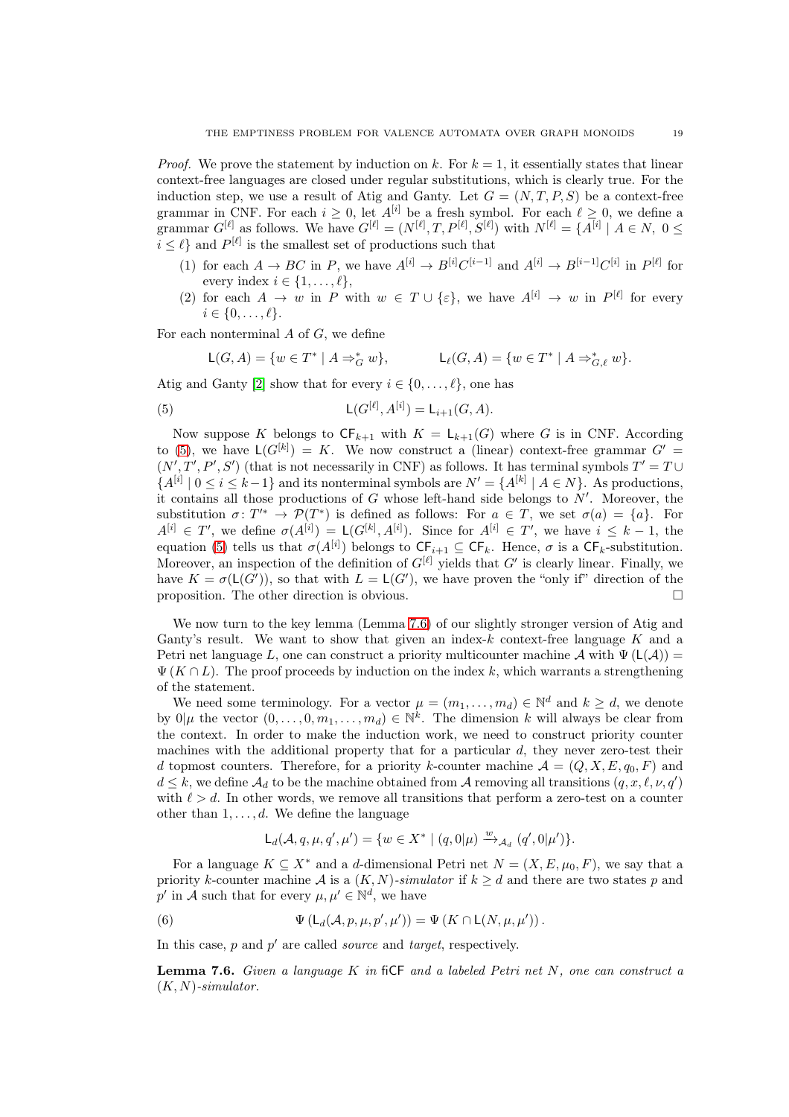*Proof.* We prove the statement by induction on k. For  $k = 1$ , it essentially states that linear context-free languages are closed under regular substitutions, which is clearly true. For the induction step, we use a result of Atig and Ganty. Let  $G = (N, T, P, S)$  be a context-free grammar in CNF. For each  $i \geq 0$ , let  $A^{[i]}$  be a fresh symbol. For each  $\ell \geq 0$ , we define a grammar  $G^{[\ell]}$  as follows. We have  $G^{[\ell]} = (N^{[\ell]}, T, P^{[\ell]}, S^{[\ell]})$  with  $N^{[\ell]} = \{A^{[i]} \mid A \in N, 0 \leq \ell\}$  $i \leq \ell$  and  $P^{[\ell]}$  is the smallest set of productions such that

- (1) for each  $A \to BC$  in P, we have  $A^{[i]} \to B^{[i]}C^{[i-1]}$  and  $A^{[i]} \to B^{[i-1]}C^{[i]}$  in  $P^{[\ell]}$  for every index  $i \in \{1, \ldots, \ell\},\$
- (2) for each  $A \to w$  in P with  $w \in T \cup \{\varepsilon\}$ , we have  $A^{[i]} \to w$  in  $P^{[\ell]}$  for every  $i \in \{0,\ldots,\ell\}.$

For each nonterminal  $A$  of  $G$ , we define

<span id="page-18-0"></span>
$$
\mathsf L (G, A) = \{ w \in T^* \mid A \Rightarrow_G^* w \}, \qquad \qquad \mathsf L_\ell (G, A) = \{ w \in T^* \mid A \Rightarrow_{G,\ell}^* w \}.
$$

Atig and Ganty [\[2\]](#page-21-2) show that for every  $i \in \{0, \ldots, \ell\}$ , one has

(5) 
$$
L(G^{[\ell]}, A^{[i]}) = L_{i+1}(G, A).
$$

Now suppose K belongs to  $CF_{k+1}$  with  $K = L_{k+1}(G)$  where G is in CNF. According to [\(5\)](#page-18-0), we have  $\mathsf{L}(G^{[k]}) = K$ . We now construct a (linear) context-free grammar  $G' =$  $(N', T', P', S')$  (that is not necessarily in CNF) as follows. It has terminal symbols  $T' = T \cup$  ${A}^{[i]} \mid 0 \le i \le k-1$  and its nonterminal symbols are  $N' = {A}^{[k]} \mid A \in N$ . As productions, it contains all those productions of  $G$  whose left-hand side belongs to  $N'$ . Moreover, the substitution  $\sigma: T'^* \to \mathcal{P}(T^*)$  is defined as follows: For  $a \in T$ , we set  $\sigma(a) = \{a\}$ . For  $A^{[i]} \in T'$ , we define  $\sigma(A^{[i]}) = \mathsf{L}(G^{[k]}, A^{[i]})$ . Since for  $A^{[i]} \in T'$ , we have  $i \leq k-1$ , the equation [\(5\)](#page-18-0) tells us that  $\sigma(A^{[i]})$  belongs to  $CF_{i+1} \subseteq CF_k$ . Hence,  $\sigma$  is a  $CF_k$ -substitution. Moreover, an inspection of the definition of  $G^{[\ell]}$  yields that  $G'$  is clearly linear. Finally, we have  $K = \sigma(L(G'))$ , so that with  $L = L(G')$ , we have proven the "only if" direction of the proposition. The other direction is obvious.  $\Box$ 

We now turn to the key lemma (Lemma [7.6\)](#page-18-1) of our slightly stronger version of Atig and Ganty's result. We want to show that given an index-k context-free language  $K$  and a Petri net language L, one can construct a priority multicounter machine  $\mathcal A$  with  $\Psi(L(\mathcal A)) =$  $\Psi(K \cap L)$ . The proof proceeds by induction on the index k, which warrants a strengthening of the statement.

We need some terminology. For a vector  $\mu = (m_1, \ldots, m_d) \in \mathbb{N}^d$  and  $k \geq d$ , we denote by  $0|\mu$  the vector  $(0,\ldots,0,m_1,\ldots,m_d) \in \mathbb{N}^k$ . The dimension k will always be clear from the context. In order to make the induction work, we need to construct priority counter machines with the additional property that for a particular  $d$ , they never zero-test their d topmost counters. Therefore, for a priority k-counter machine  $\mathcal{A} = (Q, X, E, q_0, F)$  and  $d \leq k$ , we define  $\mathcal{A}_d$  to be the machine obtained from  $\mathcal{A}$  removing all transitions  $(q, x, \ell, \nu, q')$ with  $\ell > d$ . In other words, we remove all transitions that perform a zero-test on a counter other than  $1, \ldots, d$ . We define the language

$$
L_d(\mathcal{A}, q, \mu, q', \mu') = \{ w \in X^* \mid (q, 0 | \mu) \xrightarrow{w} A_d (q', 0 | \mu') \}.
$$

For a language  $K \subseteq X^*$  and a d-dimensional Petri net  $N = (X, E, \mu_0, F)$ , we say that a priority k-counter machine A is a  $(K, N)$ -simulator if  $k \geq d$  and there are two states p and p' in A such that for every  $\mu, \mu' \in \mathbb{N}^d$ , we have

(6) 
$$
\Psi(L_d(\mathcal{A}, p, \mu, p', \mu')) = \Psi(K \cap L(N, \mu, \mu')).
$$

<span id="page-18-1"></span>In this case,  $p$  and  $p'$  are called *source* and *target*, respectively.

**Lemma 7.6.** Given a language  $K$  in fiCF and a labeled Petri net  $N$ , one can construct a  $(K, N)$ -simulator.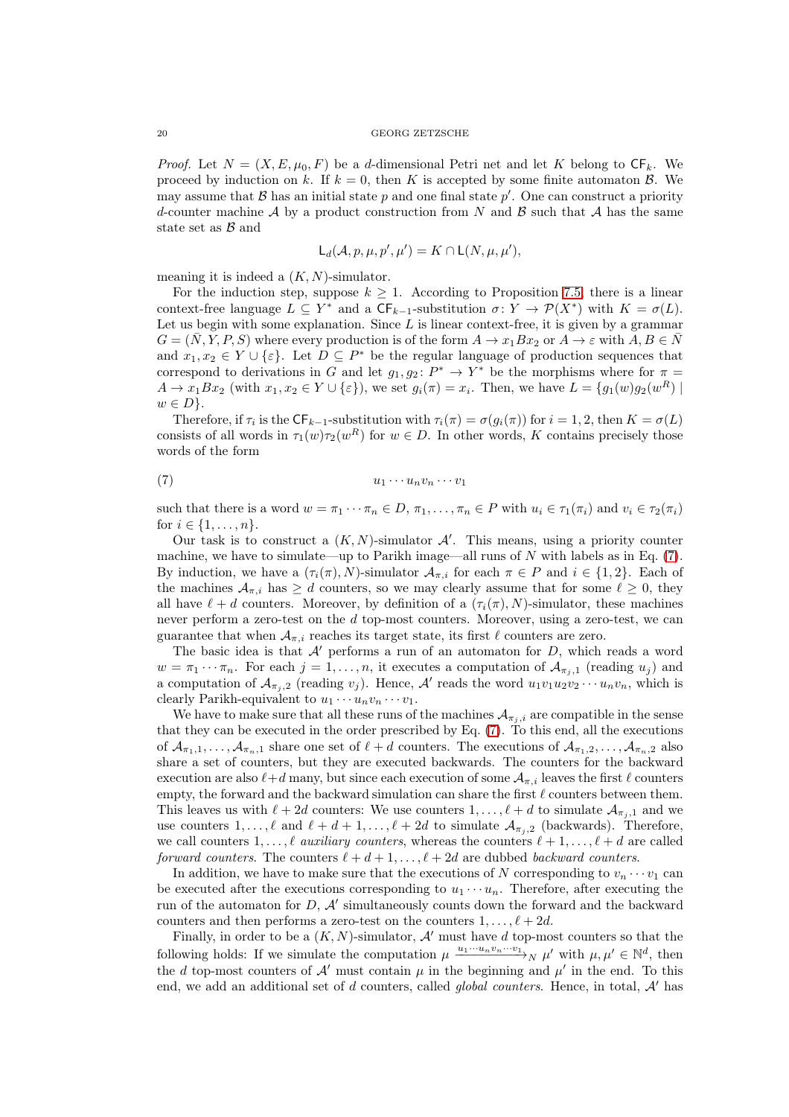*Proof.* Let  $N = (X, E, \mu_0, F)$  be a d-dimensional Petri net and let K belong to  $CF_k$ . We proceed by induction on k. If  $k = 0$ , then K is accepted by some finite automaton B. We may assume that  $\beta$  has an initial state p and one final state p'. One can construct a priority d-counter machine A by a product construction from N and B such that A has the same state set as  $\beta$  and

$$
L_d(\mathcal{A}, p, \mu, p', \mu') = K \cap L(N, \mu, \mu'),
$$

meaning it is indeed a  $(K, N)$ -simulator.

For the induction step, suppose  $k \geq 1$ . According to Proposition [7.5,](#page-17-1) there is a linear context-free language  $L \subseteq Y^*$  and a  $CF_{k-1}$ -substitution  $\sigma: Y \to \mathcal{P}(X^*)$  with  $K = \sigma(L)$ . Let us begin with some explanation. Since  $L$  is linear context-free, it is given by a grammar  $G = (\bar{N}, Y, P, S)$  where every production is of the form  $A \to x_1 B x_2$  or  $A \to \varepsilon$  with  $A, B \in \bar{N}$ and  $x_1, x_2 \in Y \cup \{\varepsilon\}$ . Let  $D \subseteq P^*$  be the regular language of production sequences that correspond to derivations in G and let  $g_1, g_2 \colon P^* \to Y^*$  be the morphisms where for  $\pi =$  $A \to x_1 B x_2$  (with  $x_1, x_2 \in Y \cup {\varepsilon}$ ), we set  $g_i(\pi) = x_i$ . Then, we have  $L = \{g_1(w) g_2(w^R) \mid$  $w \in D$ .

Therefore, if  $\tau_i$  is the  $\mathsf{CF}_{k-1}$ -substitution with  $\tau_i(\pi) = \sigma(g_i(\pi))$  for  $i = 1, 2$ , then  $K = \sigma(L)$ consists of all words in  $\tau_1(w)\tau_2(w^R)$  for  $w \in D$ . In other words, K contains precisely those words of the form

<span id="page-19-0"></span>
$$
(7) \t\t\t u_1 \cdots u_n v_n \cdots v_1
$$

such that there is a word  $w = \pi_1 \cdots \pi_n \in D$ ,  $\pi_1, \ldots, \pi_n \in P$  with  $u_i \in \tau_1(\pi_i)$  and  $v_i \in \tau_2(\pi_i)$ for  $i \in \{1, ..., n\}$ .

Our task is to construct a  $(K, N)$ -simulator  $\mathcal{A}'$ . This means, using a priority counter machine, we have to simulate—up to Parikh image—all runs of  $N$  with labels as in Eq. [\(7\)](#page-19-0). By induction, we have a  $(\tau_i(\pi), N)$ -simulator  $\mathcal{A}_{\pi,i}$  for each  $\pi \in P$  and  $i \in \{1,2\}$ . Each of the machines  $A_{\pi,i}$  has  $\geq d$  counters, so we may clearly assume that for some  $\ell \geq 0$ , they all have  $\ell + d$  counters. Moreover, by definition of a  $(\tau_i(\pi), N)$ -simulator, these machines never perform a zero-test on the d top-most counters. Moreover, using a zero-test, we can guarantee that when  $A_{\pi,i}$  reaches its target state, its first  $\ell$  counters are zero.

The basic idea is that  $A'$  performs a run of an automaton for  $D$ , which reads a word  $w = \pi_1 \cdots \pi_n$ . For each  $j = 1, \ldots, n$ , it executes a computation of  $\mathcal{A}_{\pi_{j},1}$  (reading  $u_j$ ) and a computation of  $\mathcal{A}_{\pi_j,2}$  (reading  $v_j$ ). Hence,  $\mathcal{A}'$  reads the word  $u_1v_1u_2v_2\cdots u_nv_n$ , which is clearly Parikh-equivalent to  $u_1 \cdots u_n v_n \cdots v_1$ .

We have to make sure that all these runs of the machines  $A_{\pi_i,i}$  are compatible in the sense that they can be executed in the order prescribed by Eq. [\(7\)](#page-19-0). To this end, all the executions of  $\mathcal{A}_{\pi_1,1}, \ldots, \mathcal{A}_{\pi_n,1}$  share one set of  $\ell + d$  counters. The executions of  $\mathcal{A}_{\pi_1,2}, \ldots, \mathcal{A}_{\pi_n,2}$  also share a set of counters, but they are executed backwards. The counters for the backward execution are also  $\ell+d$  many, but since each execution of some  $A_{\pi,i}$  leaves the first  $\ell$  counters empty, the forward and the backward simulation can share the first  $\ell$  counters between them. This leaves us with  $\ell + 2d$  counters: We use counters  $1, \ldots, \ell + d$  to simulate  $\mathcal{A}_{\pi_i,1}$  and we use counters  $1, \ldots, \ell$  and  $\ell + d + 1, \ldots, \ell + 2d$  to simulate  $\mathcal{A}_{\pi_i,2}$  (backwards). Therefore, we call counters  $1, \ldots, \ell$  auxiliary counters, whereas the counters  $\ell + 1, \ldots, \ell + d$  are called forward counters. The counters  $\ell + d + 1, \ldots, \ell + 2d$  are dubbed backward counters.

In addition, we have to make sure that the executions of N corresponding to  $v_n \cdots v_1$  can be executed after the executions corresponding to  $u_1 \cdots u_n$ . Therefore, after executing the run of the automaton for  $D$ ,  $\mathcal{A}'$  simultaneously counts down the forward and the backward counters and then performs a zero-test on the counters  $1, \ldots, \ell + 2d$ .

Finally, in order to be a  $(K, N)$ -simulator,  $\mathcal{A}'$  must have d top-most counters so that the following holds: If we simulate the computation  $\mu \xrightarrow{u_1 \cdots u_n v_n \cdots v_1} N \mu'$  with  $\mu, \mu' \in \mathbb{N}^d$ , then the d top-most counters of  $\mathcal{A}'$  must contain  $\mu$  in the beginning and  $\mu'$  in the end. To this end, we add an additional set of d counters, called *global counters*. Hence, in total,  $A'$  has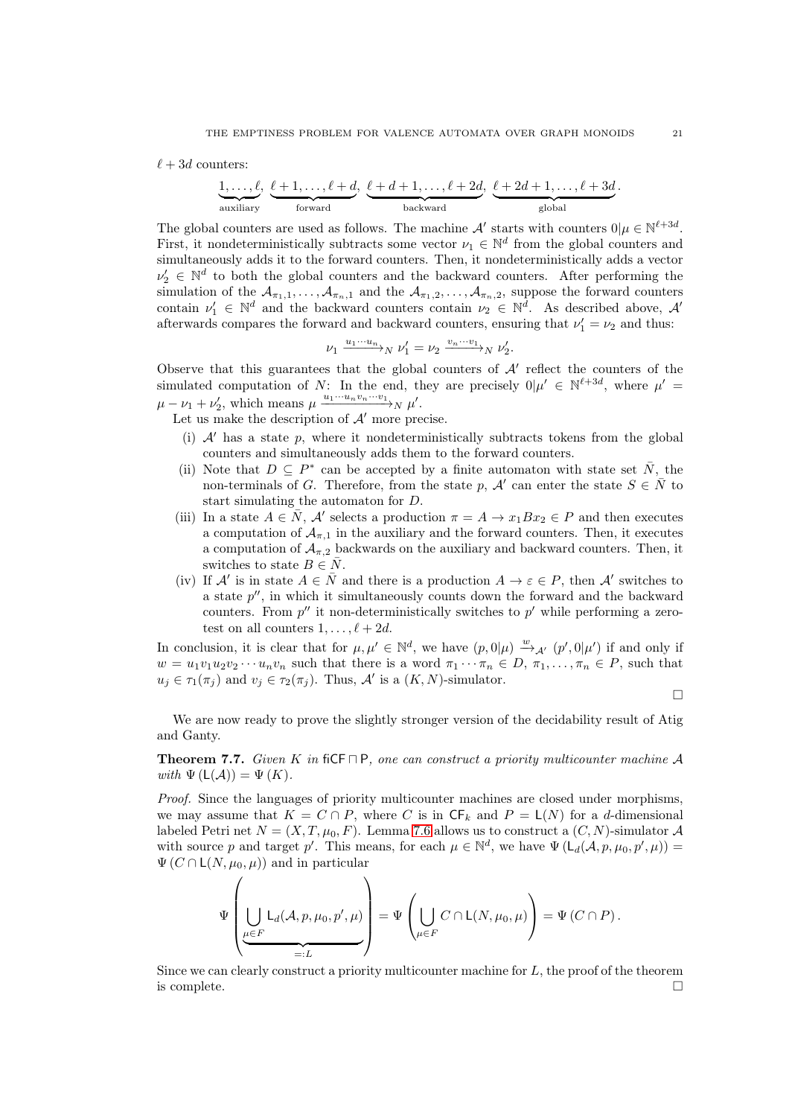$\ell + 3d$  counters:

$$
\underbrace{1,\ldots,\ell}_{\text{auxiliary}},\ \underbrace{\ell+1,\ldots,\ell+d}_{\text{forward}},\ \underbrace{\ell+d+1,\ldots,\ell+2d}_{\text{backward}},\ \underbrace{\ell+2d+1,\ldots,\ell+3d}_{\text{global}}.
$$

The global counters are used as follows. The machine A' starts with counters  $0|\mu \in \mathbb{N}^{\ell+3d}$ . First, it nondeterministically subtracts some vector  $\nu_1 \in \mathbb{N}^d$  from the global counters and simultaneously adds it to the forward counters. Then, it nondeterministically adds a vector  $\nu_2' \in \mathbb{N}^d$  to both the global counters and the backward counters. After performing the simulation of the  $\mathcal{A}_{\pi_1,1},\ldots,\mathcal{A}_{\pi_n,1}$  and the  $\mathcal{A}_{\pi_1,2},\ldots,\mathcal{A}_{\pi_n,2}$ , suppose the forward counters contain  $\nu'_1 \in \mathbb{N}^d$  and the backward counters contain  $\nu_2 \in \mathbb{N}^d$ . As described above,  $\mathcal{A}'$ afterwards compares the forward and backward counters, ensuring that  $\nu'_1 = \nu_2$  and thus:

$$
\nu_1 \xrightarrow{u_1 \cdots u_n} N \nu'_1 = \nu_2 \xrightarrow{v_n \cdots v_1} N \nu'_2.
$$

Observe that this guarantees that the global counters of  $A'$  reflect the counters of the simulated computation of N: In the end, they are precisely  $0|\mu' \in \mathbb{N}^{\ell+3d}$ , where  $\mu' =$  $\mu - \nu_1 + \nu_2'$ , which means  $\mu \xrightarrow{u_1 \cdots u_n v_n \cdots v_1} N \mu'$ .

Let us make the description of  $A'$  more precise.

- (i)  $A'$  has a state p, where it nondeterministically subtracts tokens from the global counters and simultaneously adds them to the forward counters.
- (ii) Note that  $D \subseteq P^*$  can be accepted by a finite automaton with state set  $\overline{N}$ , the non-terminals of G. Therefore, from the state  $p$ ,  $\mathcal{A}'$  can enter the state  $S \in \overline{N}$  to start simulating the automaton for D.
- (iii) In a state  $A \in \overline{N}$ ,  $\mathcal{A}'$  selects a production  $\pi = A \to x_1 B x_2 \in P$  and then executes a computation of  $\mathcal{A}_{\pi,1}$  in the auxiliary and the forward counters. Then, it executes a computation of  $\mathcal{A}_{\pi,2}$  backwards on the auxiliary and backward counters. Then, it switches to state  $B \in \overline{N}$ .
- (iv) If A' is in state  $A \in \overline{N}$  and there is a production  $A \to \varepsilon \in P$ , then A' switches to a state  $p''$ , in which it simultaneously counts down the forward and the backward counters. From  $p''$  it non-deterministically switches to  $p'$  while performing a zerotest on all counters  $1, \ldots, \ell + 2d$ .

In conclusion, it is clear that for  $\mu, \mu' \in \mathbb{N}^d$ , we have  $(p, 0 | \mu) \stackrel{w}{\rightarrow}_{\mathcal{A}'} (p', 0 | \mu')$  if and only if  $w = u_1v_1u_2v_2\cdots u_nv_n$  such that there is a word  $\pi_1\cdots\pi_n \in D$ ,  $\pi_1,\ldots,\pi_n \in P$ , such that  $u_j \in \tau_1(\pi_j)$  and  $v_j \in \tau_2(\pi_j)$ . Thus,  $\mathcal{A}'$  is a  $(K, N)$ -simulator.

 $\Box$ 

<span id="page-20-0"></span>We are now ready to prove the slightly stronger version of the decidability result of Atig and Ganty.

**Theorem 7.7.** Given K in fiCF  $\sqcap$  P, one can construct a priority multicounter machine A with  $\Psi$  ( $\mathsf{L}(\mathcal{A})) = \Psi(K)$ .

Proof. Since the languages of priority multicounter machines are closed under morphisms, we may assume that  $K = C \cap P$ , where C is in  $\mathsf{CF}_k$  and  $P = \mathsf{L}(N)$  for a d-dimensional labeled Petri net  $N = (X, T, \mu_0, F)$ . Lemma [7.6](#page-18-1) allows us to construct a  $(C, N)$ -simulator A with source p and target p'. This means, for each  $\mu \in \mathbb{N}^d$ , we have  $\Psi(L_d(\mathcal{A}, p, \mu_0, p', \mu)) =$  $\Psi(C \cap L(N, \mu_0, \mu))$  and in particular

$$
\Psi\left(\bigcup_{\mu\in F} \mathsf{L}_d(\mathcal{A},p,\mu_0,p',\mu)\right)=\Psi\left(\bigcup_{\mu\in F} C\cap \mathsf{L}(N,\mu_0,\mu)\right)=\Psi\left(C\cap P\right).
$$

Since we can clearly construct a priority multicounter machine for  $L$ , the proof of the theorem is complete.  $\Box$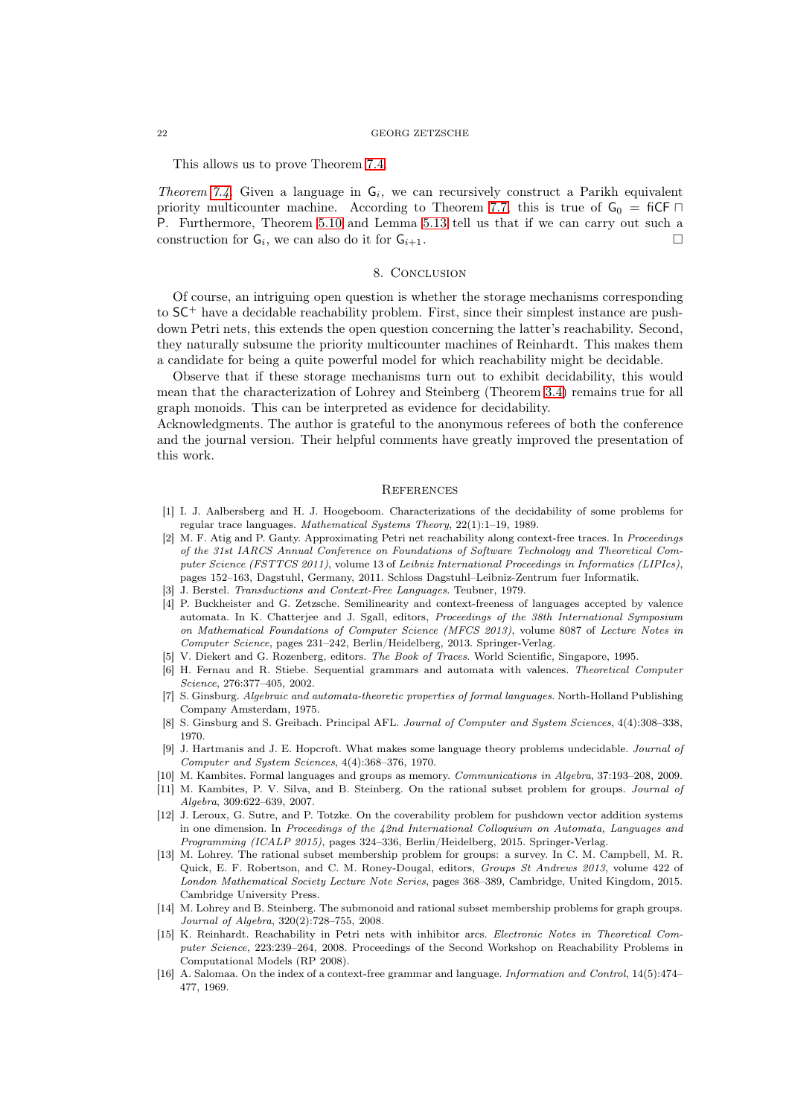This allows us to prove Theorem [7.4.](#page-17-0)

*Theorem [7.4.](#page-17-0)* Given a language in  $G_i$ , we can recursively construct a Parikh equivalent priority multicounter machine. According to Theorem [7.7,](#page-20-0) this is true of  $G_0 = f$ iCF  $\Box$ P. Furthermore, Theorem [5.10](#page-13-1) and Lemma [5.13](#page-14-1) tell us that if we can carry out such a construction for  $G_i$ , we can also do it for  $G_{i+1}$ .

## 8. CONCLUSION

Of course, an intriguing open question is whether the storage mechanisms corresponding to SC<sup>+</sup> have a decidable reachability problem. First, since their simplest instance are pushdown Petri nets, this extends the open question concerning the latter's reachability. Second, they naturally subsume the priority multicounter machines of Reinhardt. This makes them a candidate for being a quite powerful model for which reachability might be decidable.

Observe that if these storage mechanisms turn out to exhibit decidability, this would mean that the characterization of Lohrey and Steinberg (Theorem [3.4\)](#page-5-0) remains true for all graph monoids. This can be interpreted as evidence for decidability.

Acknowledgments. The author is grateful to the anonymous referees of both the conference and the journal version. Their helpful comments have greatly improved the presentation of this work.

# **REFERENCES**

- <span id="page-21-7"></span>[1] I. J. Aalbersberg and H. J. Hoogeboom. Characterizations of the decidability of some problems for regular trace languages. Mathematical Systems Theory, 22(1):1–19, 1989.
- <span id="page-21-2"></span>[2] M. F. Atig and P. Ganty. Approximating Petri net reachability along context-free traces. In Proceedings of the 31st IARCS Annual Conference on Foundations of Software Technology and Theoretical Computer Science (FSTTCS 2011), volume 13 of Leibniz International Proceedings in Informatics (LIPIcs), pages 152–163, Dagstuhl, Germany, 2011. Schloss Dagstuhl–Leibniz-Zentrum fuer Informatik.
- <span id="page-21-13"></span><span id="page-21-8"></span>[3] J. Berstel. Transductions and Context-Free Languages. Teubner, 1979.
- [4] P. Buckheister and G. Zetzsche. Semilinearity and context-freeness of languages accepted by valence automata. In K. Chatterjee and J. Sgall, editors, Proceedings of the 38th International Symposium on Mathematical Foundations of Computer Science (MFCS 2013), volume 8087 of Lecture Notes in Computer Science, pages 231–242, Berlin/Heidelberg, 2013. Springer-Verlag.
- <span id="page-21-9"></span><span id="page-21-0"></span>[5] V. Diekert and G. Rozenberg, editors. The Book of Traces. World Scientific, Singapore, 1995.
- [6] H. Fernau and R. Stiebe. Sequential grammars and automata with valences. Theoretical Computer Science, 276:377–405, 2002.
- <span id="page-21-15"></span>[7] S. Ginsburg. Algebraic and automata-theoretic properties of formal languages. North-Holland Publishing Company Amsterdam, 1975.
- <span id="page-21-11"></span>[8] S. Ginsburg and S. Greibach. Principal AFL. Journal of Computer and System Sciences, 4(4):308–338, 1970.
- <span id="page-21-10"></span>[9] J. Hartmanis and J. E. Hopcroft. What makes some language theory problems undecidable. Journal of Computer and System Sciences, 4(4):368–376, 1970.
- <span id="page-21-12"></span><span id="page-21-5"></span>[10] M. Kambites. Formal languages and groups as memory. Communications in Algebra, 37:193–208, 2009.
- [11] M. Kambites, P. V. Silva, and B. Steinberg. On the rational subset problem for groups. Journal of Algebra, 309:622–639, 2007.
- <span id="page-21-3"></span>[12] J. Leroux, G. Sutre, and P. Totzke. On the coverability problem for pushdown vector addition systems in one dimension. In Proceedings of the 42nd International Colloquium on Automata, Languages and Programming (ICALP 2015), pages 324–336, Berlin/Heidelberg, 2015. Springer-Verlag.
- <span id="page-21-6"></span>[13] M. Lohrey. The rational subset membership problem for groups: a survey. In C. M. Campbell, M. R. Quick, E. F. Robertson, and C. M. Roney-Dougal, editors, Groups St Andrews 2013, volume 422 of London Mathematical Society Lecture Note Series, pages 368–389, Cambridge, United Kingdom, 2015. Cambridge University Press.
- <span id="page-21-4"></span>[14] M. Lohrey and B. Steinberg. The submonoid and rational subset membership problems for graph groups. Journal of Algebra, 320(2):728–755, 2008.
- <span id="page-21-1"></span>[15] K. Reinhardt. Reachability in Petri nets with inhibitor arcs. Electronic Notes in Theoretical Computer Science, 223:239–264, 2008. Proceedings of the Second Workshop on Reachability Problems in Computational Models (RP 2008).
- <span id="page-21-14"></span>[16] A. Salomaa. On the index of a context-free grammar and language. Information and Control, 14(5):474– 477, 1969.